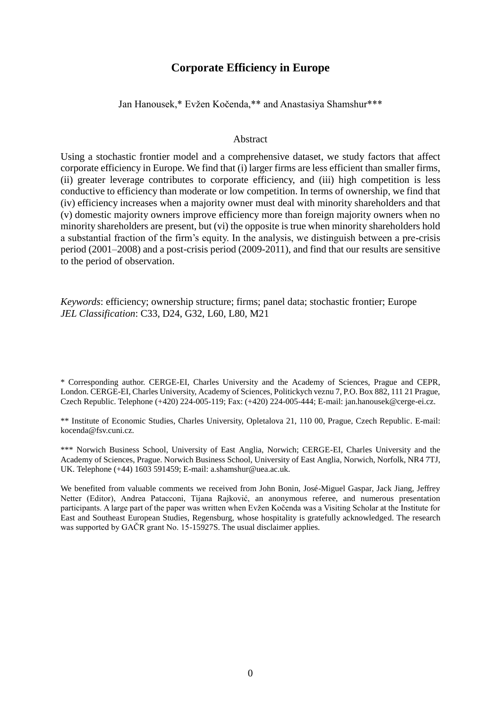# **Corporate Efficiency in Europe**

Jan Hanousek,\* Evžen Kočenda,\*\* and Anastasiya Shamshur\*\*\*

#### Abstract

Using a stochastic frontier model and a comprehensive dataset, we study factors that affect corporate efficiency in Europe. We find that (i) larger firms are less efficient than smaller firms, (ii) greater leverage contributes to corporate efficiency, and (iii) high competition is less conductive to efficiency than moderate or low competition. In terms of ownership, we find that (iv) efficiency increases when a majority owner must deal with minority shareholders and that (v) domestic majority owners improve efficiency more than foreign majority owners when no minority shareholders are present, but (vi) the opposite is true when minority shareholders hold a substantial fraction of the firm's equity. In the analysis, we distinguish between a pre-crisis period (2001–2008) and a post-crisis period (2009-2011), and find that our results are sensitive to the period of observation.

*Keywords*: efficiency; ownership structure; firms; panel data; stochastic frontier; Europe *JEL Classification*: C33, D24, G32, L60, L80, M21

\* Corresponding author. CERGE-EI, Charles University and the Academy of Sciences, Prague and CEPR, London. CERGE-EI, Charles University, Academy of Sciences, Politickych veznu 7, P.O. Box 882, 111 21 Prague, Czech Republic. Telephone (+420) 224-005-119; Fax: (+420) 224-005-444; E-mail: jan.hanousek@cerge-ei.cz.

\*\* Institute of Economic Studies, Charles University, Opletalova 21, 110 00, Prague, Czech Republic. E-mail: kocenda@fsv.cuni.cz.

\*\*\* Norwich Business School, University of East Anglia, Norwich; CERGE-EI, Charles University and the Academy of Sciences, Prague. Norwich Business School, University of East Anglia, Norwich, Norfolk, NR4 7TJ, UK. Telephone (+44) 1603 591459; E-mail: a.shamshur@uea.ac.uk.

We benefited from valuable comments we received from John Bonin, José-Miguel Gaspar, Jack Jiang, Jeffrey Netter (Editor), Andrea Patacconi, Tijana Rajković, an anonymous referee, and numerous presentation participants. A large part of the paper was written when Evžen Kočenda was a Visiting Scholar at the Institute for East and Southeast European Studies, Regensburg, whose hospitality is gratefully acknowledged. The research was supported by GAČR grant No. 15-15927S. The usual disclaimer applies.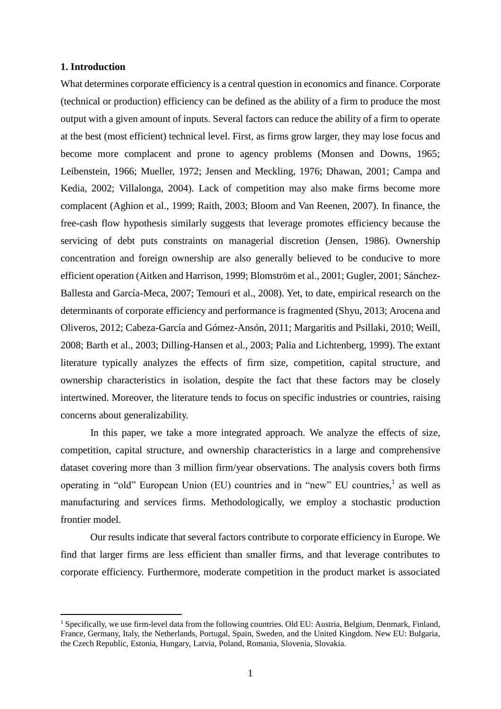## **1. Introduction**

1

What determines corporate efficiency is a central question in economics and finance. Corporate (technical or production) efficiency can be defined as the ability of a firm to produce the most output with a given amount of inputs. Several factors can reduce the ability of a firm to operate at the best (most efficient) technical level. First, as firms grow larger, they may lose focus and become more complacent and prone to agency problems (Monsen and Downs, 1965; Leibenstein, 1966; Mueller, 1972; Jensen and Meckling, 1976; Dhawan, 2001; Campa and Kedia, 2002; Villalonga, 2004). Lack of competition may also make firms become more complacent (Aghion et al., 1999; Raith, 2003; Bloom and Van Reenen, 2007). In finance, the free-cash flow hypothesis similarly suggests that leverage promotes efficiency because the servicing of debt puts constraints on managerial discretion (Jensen, 1986). Ownership concentration and foreign ownership are also generally believed to be conducive to more efficient operation (Aitken and Harrison, 1999; Blomström et al., 2001; Gugler, 2001; Sánchez-Ballesta and García-Meca, 2007; Temouri et al., 2008). Yet, to date, empirical research on the determinants of corporate efficiency and performance is fragmented (Shyu, 2013; Arocena and Oliveros, 2012; Cabeza-García and Gómez-Ansón, 2011; Margaritis and Psillaki, 2010; Weill, 2008; Barth et al., 2003; Dilling-Hansen et al., 2003; Palia and Lichtenberg, 1999). The extant literature typically analyzes the effects of firm size, competition, capital structure, and ownership characteristics in isolation, despite the fact that these factors may be closely intertwined. Moreover, the literature tends to focus on specific industries or countries, raising concerns about generalizability.

In this paper, we take a more integrated approach. We analyze the effects of size, competition, capital structure, and ownership characteristics in a large and comprehensive dataset covering more than 3 million firm/year observations. The analysis covers both firms operating in "old" European Union (EU) countries and in "new" EU countries, 1 as well as manufacturing and services firms. Methodologically, we employ a stochastic production frontier model.

Our results indicate that several factors contribute to corporate efficiency in Europe. We find that larger firms are less efficient than smaller firms, and that leverage contributes to corporate efficiency. Furthermore, moderate competition in the product market is associated

<sup>&</sup>lt;sup>1</sup> Specifically, we use firm-level data from the following countries. Old EU: Austria, Belgium, Denmark, Finland, France, Germany, Italy, the Netherlands, Portugal, Spain, Sweden, and the United Kingdom. New EU: Bulgaria, the Czech Republic, Estonia, Hungary, Latvia, Poland, Romania, Slovenia, Slovakia.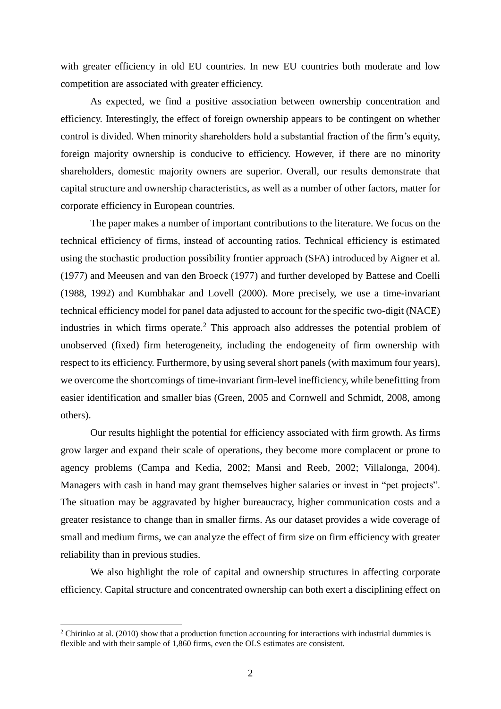with greater efficiency in old EU countries. In new EU countries both moderate and low competition are associated with greater efficiency.

As expected, we find a positive association between ownership concentration and efficiency. Interestingly, the effect of foreign ownership appears to be contingent on whether control is divided. When minority shareholders hold a substantial fraction of the firm's equity, foreign majority ownership is conducive to efficiency. However, if there are no minority shareholders, domestic majority owners are superior. Overall, our results demonstrate that capital structure and ownership characteristics, as well as a number of other factors, matter for corporate efficiency in European countries.

The paper makes a number of important contributions to the literature. We focus on the technical efficiency of firms, instead of accounting ratios. Technical efficiency is estimated using the stochastic production possibility frontier approach (SFA) introduced by Aigner et al. (1977) and Meeusen and van den Broeck (1977) and further developed by Battese and Coelli (1988, 1992) and Kumbhakar and Lovell (2000). More precisely, we use a time-invariant technical efficiency model for panel data adjusted to account for the specific two-digit (NACE) industries in which firms operate.<sup>2</sup> This approach also addresses the potential problem of unobserved (fixed) firm heterogeneity, including the endogeneity of firm ownership with respect to its efficiency. Furthermore, by using several short panels (with maximum four years), we overcome the shortcomings of time-invariant firm-level inefficiency, while benefitting from easier identification and smaller bias (Green, 2005 and Cornwell and Schmidt, 2008, among others).

Our results highlight the potential for efficiency associated with firm growth. As firms grow larger and expand their scale of operations, they become more complacent or prone to agency problems (Campa and Kedia, 2002; Mansi and Reeb, 2002; Villalonga, 2004). Managers with cash in hand may grant themselves higher salaries or invest in "pet projects". The situation may be aggravated by higher bureaucracy, higher communication costs and a greater resistance to change than in smaller firms. As our dataset provides a wide coverage of small and medium firms, we can analyze the effect of firm size on firm efficiency with greater reliability than in previous studies.

We also highlight the role of capital and ownership structures in affecting corporate efficiency. Capital structure and concentrated ownership can both exert a disciplining effect on

<u>.</u>

<sup>&</sup>lt;sup>2</sup> Chirinko at al. (2010) show that a production function accounting for interactions with industrial dummies is flexible and with their sample of 1,860 firms, even the OLS estimates are consistent.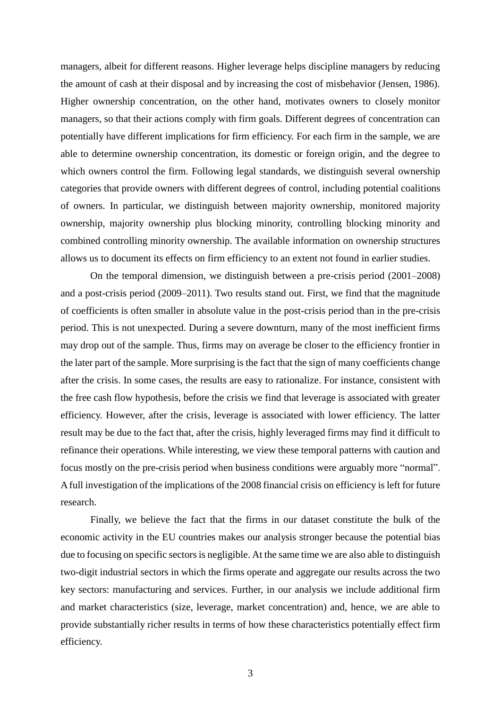managers, albeit for different reasons. Higher leverage helps discipline managers by reducing the amount of cash at their disposal and by increasing the cost of misbehavior (Jensen, 1986). Higher ownership concentration, on the other hand, motivates owners to closely monitor managers, so that their actions comply with firm goals. Different degrees of concentration can potentially have different implications for firm efficiency. For each firm in the sample, we are able to determine ownership concentration, its domestic or foreign origin, and the degree to which owners control the firm. Following legal standards, we distinguish several ownership categories that provide owners with different degrees of control, including potential coalitions of owners. In particular, we distinguish between majority ownership, monitored majority ownership, majority ownership plus blocking minority, controlling blocking minority and combined controlling minority ownership. The available information on ownership structures allows us to document its effects on firm efficiency to an extent not found in earlier studies.

On the temporal dimension, we distinguish between a pre-crisis period (2001–2008) and a post-crisis period (2009–2011). Two results stand out. First, we find that the magnitude of coefficients is often smaller in absolute value in the post-crisis period than in the pre-crisis period. This is not unexpected. During a severe downturn, many of the most inefficient firms may drop out of the sample. Thus, firms may on average be closer to the efficiency frontier in the later part of the sample. More surprising is the fact that the sign of many coefficients change after the crisis. In some cases, the results are easy to rationalize. For instance, consistent with the free cash flow hypothesis, before the crisis we find that leverage is associated with greater efficiency. However, after the crisis, leverage is associated with lower efficiency. The latter result may be due to the fact that, after the crisis, highly leveraged firms may find it difficult to refinance their operations. While interesting, we view these temporal patterns with caution and focus mostly on the pre-crisis period when business conditions were arguably more "normal". A full investigation of the implications of the 2008 financial crisis on efficiency is left for future research.

Finally, we believe the fact that the firms in our dataset constitute the bulk of the economic activity in the EU countries makes our analysis stronger because the potential bias due to focusing on specific sectors is negligible. At the same time we are also able to distinguish two-digit industrial sectors in which the firms operate and aggregate our results across the two key sectors: manufacturing and services. Further, in our analysis we include additional firm and market characteristics (size, leverage, market concentration) and, hence, we are able to provide substantially richer results in terms of how these characteristics potentially effect firm efficiency.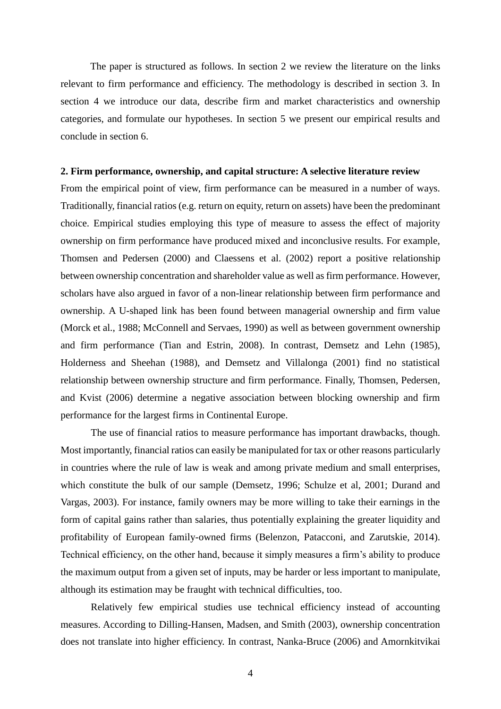The paper is structured as follows. In section 2 we review the literature on the links relevant to firm performance and efficiency. The methodology is described in section 3. In section 4 we introduce our data, describe firm and market characteristics and ownership categories, and formulate our hypotheses. In section 5 we present our empirical results and conclude in section 6.

#### **2. Firm performance, ownership, and capital structure: A selective literature review**

From the empirical point of view, firm performance can be measured in a number of ways. Traditionally, financial ratios (e.g. return on equity, return on assets) have been the predominant choice. Empirical studies employing this type of measure to assess the effect of majority ownership on firm performance have produced mixed and inconclusive results. For example, Thomsen and Pedersen (2000) and Claessens et al. (2002) report a positive relationship between ownership concentration and shareholder value as well as firm performance. However, scholars have also argued in favor of a non-linear relationship between firm performance and ownership. A U-shaped link has been found between managerial ownership and firm value (Morck et al., 1988; McConnell and Servaes, 1990) as well as between government ownership and firm performance (Tian and Estrin, 2008). In contrast, Demsetz and Lehn (1985), Holderness and Sheehan (1988), and Demsetz and Villalonga (2001) find no statistical relationship between ownership structure and firm performance. Finally, Thomsen, Pedersen, and Kvist (2006) determine a negative association between blocking ownership and firm performance for the largest firms in Continental Europe.

The use of financial ratios to measure performance has important drawbacks, though. Most importantly, financial ratios can easily be manipulated for tax or other reasons particularly in countries where the rule of law is weak and among private medium and small enterprises, which constitute the bulk of our sample (Demsetz, 1996; Schulze et al, 2001; Durand and Vargas, 2003). For instance, family owners may be more willing to take their earnings in the form of capital gains rather than salaries, thus potentially explaining the greater liquidity and profitability of European family-owned firms (Belenzon, Patacconi, and Zarutskie, 2014). Technical efficiency, on the other hand, because it simply measures a firm's ability to produce the maximum output from a given set of inputs, may be harder or less important to manipulate, although its estimation may be fraught with technical difficulties, too.

Relatively few empirical studies use technical efficiency instead of accounting measures. According to Dilling-Hansen, Madsen, and Smith (2003), ownership concentration does not translate into higher efficiency. In contrast, Nanka-Bruce (2006) and Amornkitvikai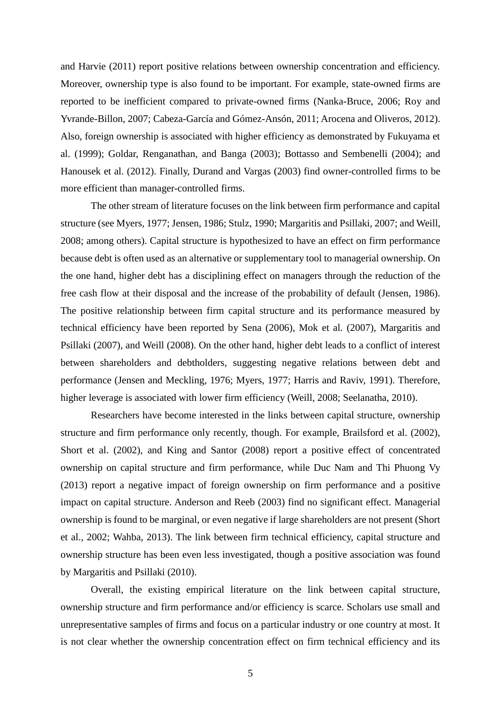and Harvie (2011) report positive relations between ownership concentration and efficiency. Moreover, ownership type is also found to be important. For example, state-owned firms are reported to be inefficient compared to private-owned firms (Nanka-Bruce, 2006; Roy and Yvrande-Billon, 2007; Cabeza-García and Gómez-Ansón, 2011; Arocena and Oliveros, 2012). Also, foreign ownership is associated with higher efficiency as demonstrated by Fukuyama et al. (1999); Goldar, Renganathan, and Banga (2003); Bottasso and Sembenelli (2004); and Hanousek et al. (2012). Finally, Durand and Vargas (2003) find owner-controlled firms to be more efficient than manager-controlled firms.

The other stream of literature focuses on the link between firm performance and capital structure (see Myers, 1977; Jensen, 1986; Stulz, 1990; Margaritis and Psillaki, 2007; and Weill, 2008; among others). Capital structure is hypothesized to have an effect on firm performance because debt is often used as an alternative or supplementary tool to managerial ownership. On the one hand, higher debt has a disciplining effect on managers through the reduction of the free cash flow at their disposal and the increase of the probability of default (Jensen, 1986). The positive relationship between firm capital structure and its performance measured by technical efficiency have been reported by Sena (2006), Mok et al*.* (2007), Margaritis and Psillaki (2007), and Weill (2008). On the other hand, higher debt leads to a conflict of interest between shareholders and debtholders, suggesting negative relations between debt and performance (Jensen and Meckling, 1976; Myers, 1977; Harris and Raviv, 1991). Therefore, higher leverage is associated with lower firm efficiency (Weill, 2008; Seelanatha, 2010).

Researchers have become interested in the links between capital structure, ownership structure and firm performance only recently, though. For example, Brailsford et al. (2002), Short et al. (2002), and King and Santor (2008) report a positive effect of concentrated ownership on capital structure and firm performance, while Duc Nam and Thi Phuong Vy (2013) report a negative impact of foreign ownership on firm performance and a positive impact on capital structure. Anderson and Reeb (2003) find no significant effect. Managerial ownership is found to be marginal, or even negative if large shareholders are not present (Short et al., 2002; Wahba, 2013). The link between firm technical efficiency, capital structure and ownership structure has been even less investigated, though a positive association was found by Margaritis and Psillaki (2010).

Overall, the existing empirical literature on the link between capital structure, ownership structure and firm performance and/or efficiency is scarce. Scholars use small and unrepresentative samples of firms and focus on a particular industry or one country at most. It is not clear whether the ownership concentration effect on firm technical efficiency and its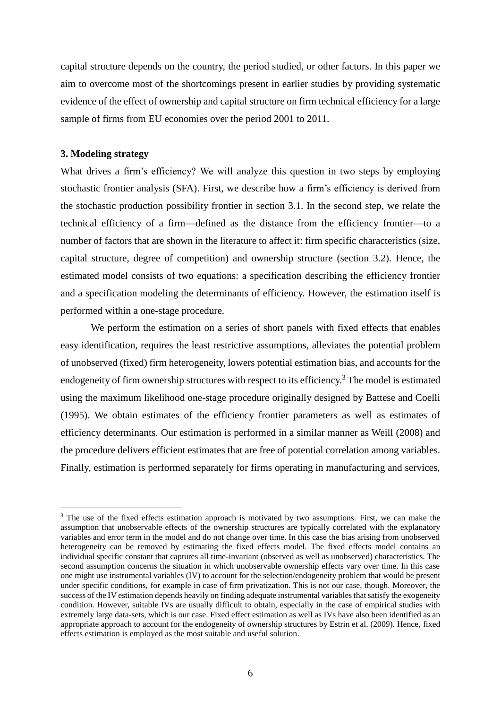capital structure depends on the country, the period studied, or other factors. In this paper we aim to overcome most of the shortcomings present in earlier studies by providing systematic evidence of the effect of ownership and capital structure on firm technical efficiency for a large sample of firms from EU economies over the period 2001 to 2011.

## **3. Modeling strategy**

1

What drives a firm's efficiency? We will analyze this question in two steps by employing stochastic frontier analysis (SFA). First, we describe how a firm's efficiency is derived from the stochastic production possibility frontier in section 3.1. In the second step, we relate the technical efficiency of a firm—defined as the distance from the efficiency frontier—to a number of factors that are shown in the literature to affect it: firm specific characteristics (size, capital structure, degree of competition) and ownership structure (section 3.2). Hence, the estimated model consists of two equations: a specification describing the efficiency frontier and a specification modeling the determinants of efficiency. However, the estimation itself is performed within a one-stage procedure.

We perform the estimation on a series of short panels with fixed effects that enables easy identification, requires the least restrictive assumptions, alleviates the potential problem of unobserved (fixed) firm heterogeneity, lowers potential estimation bias, and accounts for the endogeneity of firm ownership structures with respect to its efficiency.<sup>3</sup> The model is estimated using the maximum likelihood one-stage procedure originally designed by Battese and Coelli (1995). We obtain estimates of the efficiency frontier parameters as well as estimates of efficiency determinants. Our estimation is performed in a similar manner as Weill (2008) and the procedure delivers efficient estimates that are free of potential correlation among variables. Finally, estimation is performed separately for firms operating in manufacturing and services,

<sup>&</sup>lt;sup>3</sup> The use of the fixed effects estimation approach is motivated by two assumptions. First, we can make the assumption that unobservable effects of the ownership structures are typically correlated with the explanatory variables and error term in the model and do not change over time. In this case the bias arising from unobserved heterogeneity can be removed by estimating the fixed effects model. The fixed effects model contains an individual specific constant that captures all time-invariant (observed as well as unobserved) characteristics. The second assumption concerns the situation in which unobservable ownership effects vary over time. In this case one might use instrumental variables (IV) to account for the selection/endogeneity problem that would be present under specific conditions, for example in case of firm privatization. This is not our case, though. Moreover, the success of the IV estimation depends heavily on finding adequate instrumental variables that satisfy the exogeneity condition. However, suitable IVs are usually difficult to obtain, especially in the case of empirical studies with extremely large data-sets, which is our case. Fixed effect estimation as well as IVs have also been identified as an appropriate approach to account for the endogeneity of ownership structures by Estrin et al. (2009). Hence, fixed effects estimation is employed as the most suitable and useful solution.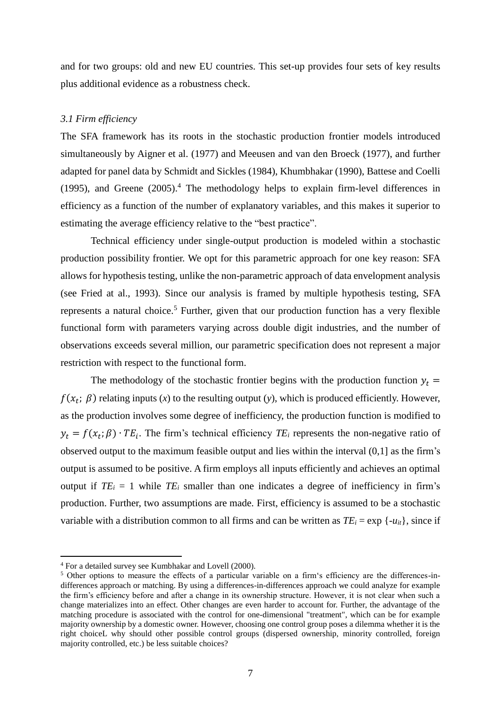and for two groups: old and new EU countries. This set-up provides four sets of key results plus additional evidence as a robustness check.

## *3.1 Firm efficiency*

The SFA framework has its roots in the stochastic production frontier models introduced simultaneously by Aigner et al. (1977) and Meeusen and van den Broeck (1977), and further adapted for panel data by Schmidt and Sickles (1984), Khumbhakar (1990), Battese and Coelli (1995), and Greene (2005). <sup>4</sup> The methodology helps to explain firm-level differences in efficiency as a function of the number of explanatory variables, and this makes it superior to estimating the average efficiency relative to the "best practice".

Technical efficiency under single-output production is modeled within a stochastic production possibility frontier. We opt for this parametric approach for one key reason: SFA allows for hypothesis testing, unlike the non-parametric approach of data envelopment analysis (see Fried at al., 1993). Since our analysis is framed by multiple hypothesis testing, SFA represents a natural choice.<sup>5</sup> Further, given that our production function has a very flexible functional form with parameters varying across double digit industries, and the number of observations exceeds several million, our parametric specification does not represent a major restriction with respect to the functional form.

The methodology of the stochastic frontier begins with the production function  $y_t =$  $f(x_t; \beta)$  relating inputs (*x*) to the resulting output (*y*), which is produced efficiently. However, as the production involves some degree of inefficiency, the production function is modified to  $y_t = f(x_t; \beta) \cdot TE_i$ . The firm's technical efficiency  $TE_i$  represents the non-negative ratio of observed output to the maximum feasible output and lies within the interval (0,1] as the firm's output is assumed to be positive. A firm employs all inputs efficiently and achieves an optimal output if  $TE_i = 1$  while  $TE_i$  smaller than one indicates a degree of inefficiency in firm's production. Further, two assumptions are made. First, efficiency is assumed to be a stochastic variable with a distribution common to all firms and can be written as  $TE_i = \exp\{-u_i\}$ , since if

<u>.</u>

<sup>4</sup> For a detailed survey see Kumbhakar and Lovell (2000).

<sup>&</sup>lt;sup>5</sup> Other options to measure the effects of a particular variable on a firm's efficiency are the differences-indifferences approach or matching. By using a differences-in-differences approach we could analyze for example the firm's efficiency before and after a change in its ownership structure. However, it is not clear when such a change materializes into an effect. Other changes are even harder to account for. Further, the advantage of the matching procedure is associated with the control for one-dimensional "treatment", which can be for example majority ownership by a domestic owner. However, choosing one control group poses a dilemma whether it is the right choiceL why should other possible control groups (dispersed ownership, minority controlled, foreign majority controlled, etc.) be less suitable choices?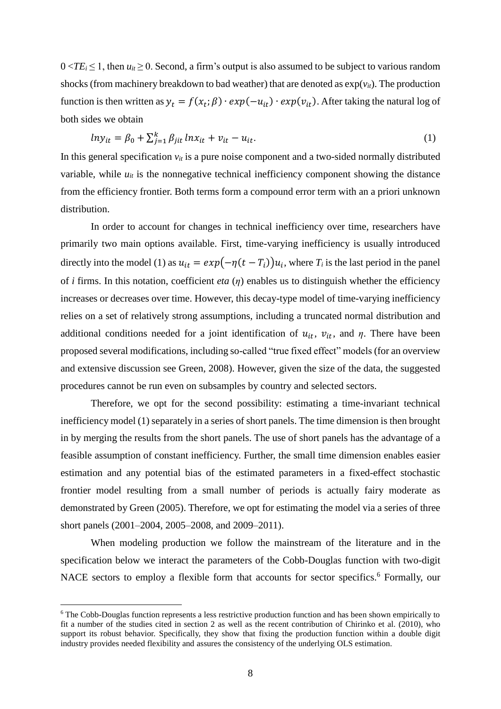$0 < TE_i \leq 1$ , then  $u_{it} \geq 0$ . Second, a firm's output is also assumed to be subject to various random shocks (from machinery breakdown to bad weather) that are denoted as  $exp(v_{it})$ . The production function is then written as  $y_t = f(x_t; \beta) \cdot exp(-u_{it}) \cdot exp(v_{it})$ . After taking the natural log of both sides we obtain

$$
ln y_{it} = \beta_0 + \sum_{j=1}^{k} \beta_{jit} ln x_{it} + v_{it} - u_{it}. \tag{1}
$$

In this general specification  $v_{it}$  is a pure noise component and a two-sided normally distributed variable, while  $u_{it}$  is the nonnegative technical inefficiency component showing the distance from the efficiency frontier. Both terms form a compound error term with an a priori unknown distribution.

In order to account for changes in technical inefficiency over time, researchers have primarily two main options available. First, time-varying inefficiency is usually introduced directly into the model (1) as  $u_{it} = exp(-\eta(t - T_i))u_i$ , where  $T_i$  is the last period in the panel of *i* firms. In this notation, coefficient *eta* (*η*) enables us to distinguish whether the efficiency increases or decreases over time. However, this decay-type model of time-varying inefficiency relies on a set of relatively strong assumptions, including a truncated normal distribution and additional conditions needed for a joint identification of  $u_{it}$ ,  $v_{it}$ , and  $\eta$ . There have been proposed several modifications, including so-called "true fixed effect" models (for an overview and extensive discussion see Green, 2008). However, given the size of the data, the suggested procedures cannot be run even on subsamples by country and selected sectors.

Therefore, we opt for the second possibility: estimating a time-invariant technical inefficiency model (1) separately in a series of short panels. The time dimension is then brought in by merging the results from the short panels. The use of short panels has the advantage of a feasible assumption of constant inefficiency. Further, the small time dimension enables easier estimation and any potential bias of the estimated parameters in a fixed-effect stochastic frontier model resulting from a small number of periods is actually fairy moderate as demonstrated by Green (2005). Therefore, we opt for estimating the model via a series of three short panels (2001–2004, 2005–2008, and 2009–2011).

When modeling production we follow the mainstream of the literature and in the specification below we interact the parameters of the Cobb-Douglas function with two-digit NACE sectors to employ a flexible form that accounts for sector specifics. <sup>6</sup> Formally, our

1

<sup>&</sup>lt;sup>6</sup> The Cobb-Douglas function represents a less restrictive production function and has been shown empirically to fit a number of the studies cited in section 2 as well as the recent contribution of Chirinko et al. (2010), who support its robust behavior. Specifically, they show that fixing the production function within a double digit industry provides needed flexibility and assures the consistency of the underlying OLS estimation.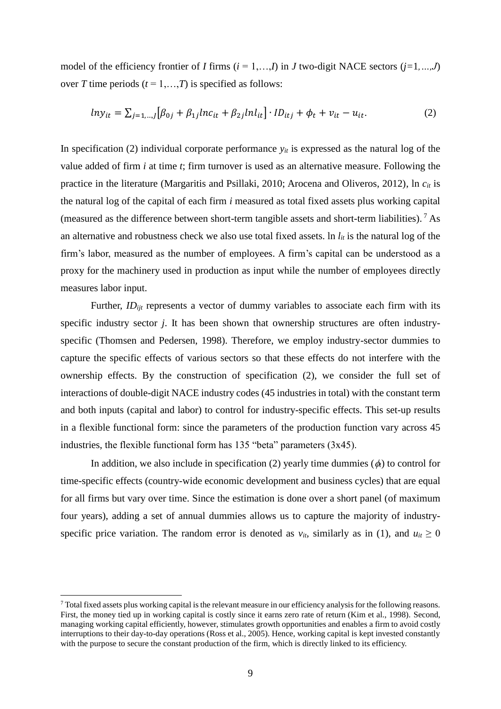model of the efficiency frontier of *I* firms  $(i = 1, \ldots, I)$  in *J* two-digit NACE sectors  $(j=1, \ldots, J)$ over *T* time periods  $(t = 1, \ldots, T)$  is specified as follows:

$$
ln y_{it} = \sum_{j=1,\dots,J} [\beta_{0j} + \beta_{1j} ln c_{it} + \beta_{2j} ln l_{it}] \cdot ID_{itj} + \phi_t + v_{it} - u_{it}. \tag{2}
$$

In specification (2) individual corporate performance  $y_{it}$  is expressed as the natural log of the value added of firm *i* at time *t*; firm turnover is used as an alternative measure. Following the practice in the literature (Margaritis and Psillaki, 2010; Arocena and Oliveros, 2012), ln *cit* is the natural log of the capital of each firm *i* measured as total fixed assets plus working capital (measured as the difference between short-term tangible assets and short-term liabilities). <sup>7</sup> As an alternative and robustness check we also use total fixed assets. In  $l_{it}$  is the natural log of the firm's labor, measured as the number of employees. A firm's capital can be understood as a proxy for the machinery used in production as input while the number of employees directly measures labor input.

Further, *ID<sub>ijt</sub>* represents a vector of dummy variables to associate each firm with its specific industry sector *j*. It has been shown that ownership structures are often industryspecific (Thomsen and Pedersen, 1998). Therefore, we employ industry-sector dummies to capture the specific effects of various sectors so that these effects do not interfere with the ownership effects. By the construction of specification (2), we consider the full set of interactions of double-digit NACE industry codes (45 industries in total) with the constant term and both inputs (capital and labor) to control for industry-specific effects. This set-up results in a flexible functional form: since the parameters of the production function vary across 45 industries, the flexible functional form has 135 "beta" parameters (3x45).

In addition, we also include in specification (2) yearly time dummies  $(\phi)$  to control for time-specific effects (country-wide economic development and business cycles) that are equal for all firms but vary over time. Since the estimation is done over a short panel (of maximum four years), adding a set of annual dummies allows us to capture the majority of industryspecific price variation. The random error is denoted as  $v_{it}$ , similarly as in (1), and  $u_{it} \ge 0$ 

<u>.</u>

 $^7$  Total fixed assets plus working capital is the relevant measure in our efficiency analysis for the following reasons. First, the money tied up in working capital is costly since it earns zero rate of return (Kim et al., 1998). Second, managing working capital efficiently, however, stimulates growth opportunities and enables a firm to avoid costly interruptions to their day-to-day operations (Ross et al., 2005). Hence, working capital is kept invested constantly with the purpose to secure the constant production of the firm, which is directly linked to its efficiency.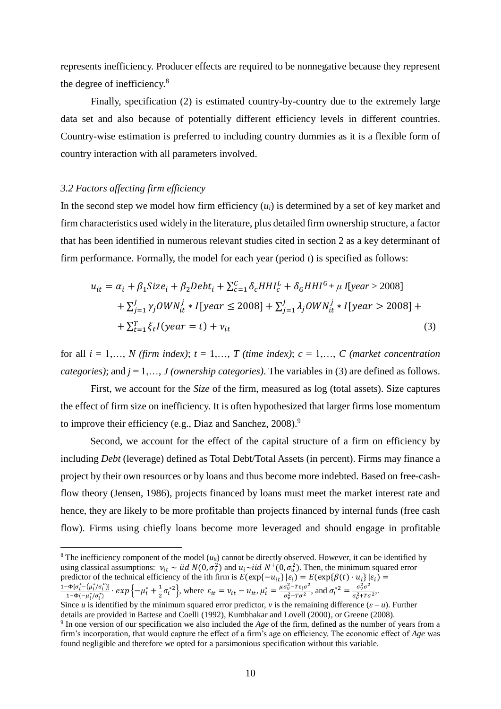represents inefficiency. Producer effects are required to be nonnegative because they represent the degree of inefficiency.<sup>8</sup>

Finally, specification (2) is estimated country-by-country due to the extremely large data set and also because of potentially different efficiency levels in different countries. Country-wise estimation is preferred to including country dummies as it is a flexible form of country interaction with all parameters involved.

#### *3.2 Factors affecting firm efficiency*

1

In the second step we model how firm efficiency  $(u_i)$  is determined by a set of key market and firm characteristics used widely in the literature, plus detailed firm ownership structure, a factor that has been identified in numerous relevant studies cited in section 2 as a key determinant of firm performance. Formally, the model for each year (period *t*) is specified as follows:

$$
u_{it} = \alpha_i + \beta_1 Size_i + \beta_2 Debt_i + \sum_{c=1}^{C} \delta_c HHI_c^L + \delta_G HHI^G + \mu I[year > 2008]
$$
  
+  $\sum_{j=1}^{J} \gamma_j OWN_{it}^j * I[year \le 2008] + \sum_{j=1}^{J} \lambda_j OWN_{it}^j * I[year > 2008] +$   
+  $\sum_{t=1}^{T} \xi_t I(year = t) + \nu_{it}$  (3)

for all  $i = 1,..., N$  (firm index);  $t = 1,..., T$  (time index);  $c = 1,..., C$  (market concentration *categories)*; and  $j = 1, \ldots, J$  *(ownership categories)*. The variables in (3) are defined as follows.

First, we account for the *Size* of the firm, measured as log (total assets). Size captures the effect of firm size on inefficiency. It is often hypothesized that larger firms lose momentum to improve their efficiency (e.g., Diaz and Sanchez, 2008).<sup>9</sup>

Second, we account for the effect of the capital structure of a firm on efficiency by including *Debt* (leverage) defined as Total Debt/Total Assets (in percent). Firms may finance a project by their own resources or by loans and thus become more indebted. Based on free-cashflow theory (Jensen, 1986), projects financed by loans must meet the market interest rate and hence, they are likely to be more profitable than projects financed by internal funds (free cash flow). Firms using chiefly loans become more leveraged and should engage in profitable

<sup>&</sup>lt;sup>8</sup> The inefficiency component of the model  $(u_i)$  cannot be directly observed. However, it can be identified by using classical assumptions:  $v_{it} \sim iid N(0, \sigma_v^2)$  and  $u_i \sim iid N^+(0, \sigma_u^2)$ . Then, the minimum squared error predictor of the technical efficiency of the ith firm is  $E(\exp{-u_{it}}| \epsilon_i) = E(\exp{\{\beta(t) \cdot u_i\}} | \epsilon_i) =$  $1-Φ[σ<sub>i</sub><sup>*</sup>-(μ<sub>i</sub><sup>*</sup>/σ<sub>i</sub><sup>*</sup>)]$  $-\frac{\Phi[\sigma_i^*-(\mu_i^*/\sigma_i^*)]}{1-\Phi(-\mu_i^*/\sigma_i^*)}\cdot exp\left\{-\mu_i^*+\frac{1}{2}\right\}$  $\frac{1}{2}\sigma_i^{*2}$ , where  $\varepsilon_{it} = v_{it} - u_{it}$ ,  $\mu_i^* = \frac{\mu \sigma_v^2 - T \varepsilon_i \sigma^2}{\sigma_v^2 + T \sigma^2}$  $\frac{\sigma_v^2 - T\epsilon_i \sigma^2}{\sigma_v^2 + T\sigma^2}$ , and  $\sigma_i^{*2} = \frac{\sigma_v^2 \sigma^2}{\sigma_v^2 + T\sigma^2}$  $\frac{\partial v}{\partial \sigma_v^2 + T \sigma^2}$ 

Since *u* is identified by the minimum squared error predictor, *v* is the remaining difference  $(\varepsilon - u)$ . Further details are provided in Battese and Coelli (1992), Kumbhakar and Lovell (2000), or Greene (2008).

<sup>9</sup> In one version of our specification we also included the *Age* of the firm, defined as the number of years from a firm's incorporation, that would capture the effect of a firm's age on efficiency. The economic effect of *Age* was found negligible and therefore we opted for a parsimonious specification without this variable.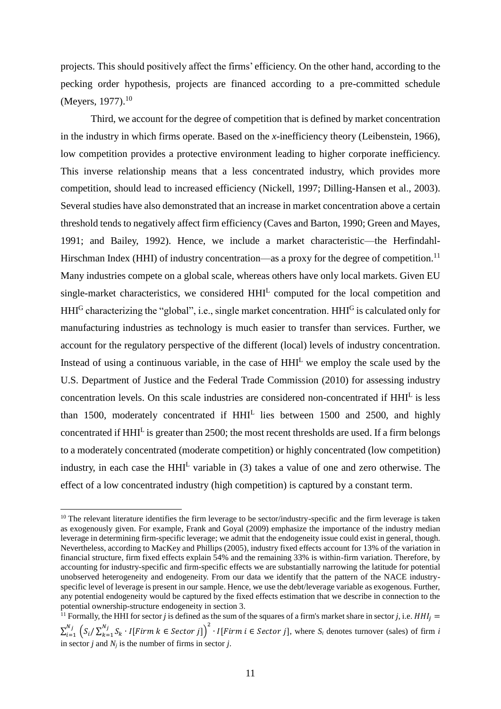projects. This should positively affect the firms' efficiency. On the other hand, according to the pecking order hypothesis, projects are financed according to a pre-committed schedule (Meyers, 1977).<sup>10</sup>

Third, we account for the degree of competition that is defined by market concentration in the industry in which firms operate. Based on the *x*-inefficiency theory (Leibenstein, 1966), low competition provides a protective environment leading to higher corporate inefficiency. This inverse relationship means that a less concentrated industry, which provides more competition, should lead to increased efficiency (Nickell, 1997; Dilling-Hansen et al., 2003). Several studies have also demonstrated that an increase in market concentration above a certain threshold tends to negatively affect firm efficiency (Caves and Barton, 1990; Green and Mayes, 1991; and Bailey, 1992). Hence, we include a market characteristic—the Herfindahl-Hirschman Index (HHI) of industry concentration—as a proxy for the degree of competition.<sup>11</sup> Many industries compete on a global scale, whereas others have only local markets. Given EU single-market characteristics, we considered HHI<sup>L</sup> computed for the local competition and HHI<sup>G</sup> characterizing the "global", i.e., single market concentration. HHI<sup>G</sup> is calculated only for manufacturing industries as technology is much easier to transfer than services. Further, we account for the regulatory perspective of the different (local) levels of industry concentration. Instead of using a continuous variable, in the case of  $HHI<sup>L</sup>$  we employ the scale used by the U.S. Department of Justice and the Federal Trade Commission (2010) for assessing industry concentration levels. On this scale industries are considered non-concentrated if HHI<sup>L</sup> is less than 1500, moderately concentrated if  $HHI<sup>L</sup>$  lies between 1500 and 2500, and highly concentrated if HHI<sup>L</sup> is greater than 2500; the most recent thresholds are used. If a firm belongs to a moderately concentrated (moderate competition) or highly concentrated (low competition) industry, in each case the HHI<sup>L</sup> variable in (3) takes a value of one and zero otherwise. The effect of a low concentrated industry (high competition) is captured by a constant term.

1

<sup>&</sup>lt;sup>10</sup> The relevant literature identifies the firm leverage to be sector/industry-specific and the firm leverage is taken as exogenously given. For example, Frank and Goyal (2009) emphasize the importance of the industry median leverage in determining firm-specific leverage; we admit that the endogeneity issue could exist in general, though. Nevertheless, according to MacKey and Phillips (2005), industry fixed effects account for 13% of the variation in financial structure, firm fixed effects explain 54% and the remaining 33% is within-firm variation. Therefore, by accounting for industry-specific and firm-specific effects we are substantially narrowing the latitude for potential unobserved heterogeneity and endogeneity. From our data we identify that the pattern of the NACE industryspecific level of leverage is present in our sample. Hence, we use the debt/leverage variable as exogenous. Further, any potential endogeneity would be captured by the fixed effects estimation that we describe in connection to the potential ownership-structure endogeneity in section 3.

<sup>&</sup>lt;sup>11</sup> Formally, the HHI for sector *j* is defined as the sum of the squares of a firm's market share in sector *j*, i.e.  $HHI_i =$  $\sum_{i=1}^{N_j}$   $\left( S_i / \sum_{k=1}^{N_j} S_k \cdot I[Firm \ k \in Sector \ j] \right)$  $_{i=1}^{N_j}$   $\left(S_i/\sum_{k=1}^{N_j} S_k \cdot I[Firm \ k \in Sector \ j] \right)^2 \cdot I[Firm \ i \in Sector \ j],$  where  $S_i$  denotes turnover (sales) of firm *i* in sector *j* and  $N_i$  is the number of firms in sector *j*.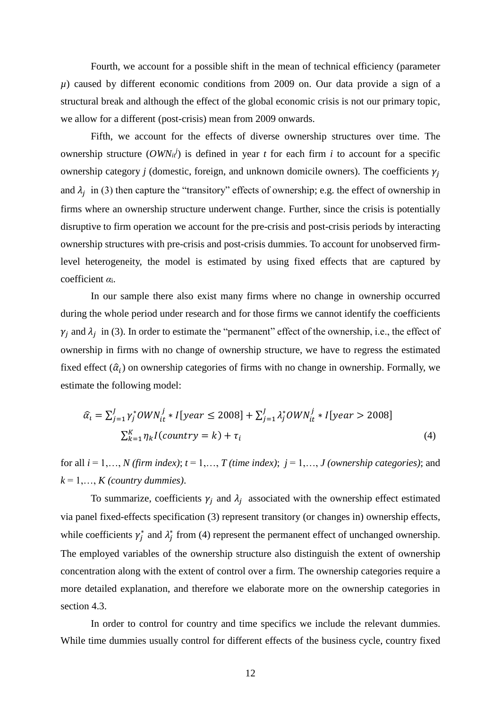Fourth, we account for a possible shift in the mean of technical efficiency (parameter *µ*) caused by different economic conditions from 2009 on. Our data provide a sign of a structural break and although the effect of the global economic crisis is not our primary topic, we allow for a different (post-crisis) mean from 2009 onwards.

Fifth, we account for the effects of diverse ownership structures over time. The ownership structure  $(OWN_i^j)$  is defined in year *t* for each firm *i* to account for a specific ownership category *j* (domestic, foreign, and unknown domicile owners). The coefficients  $\gamma_i$ and  $\lambda_j$  in (3) then capture the "transitory" effects of ownership; e.g. the effect of ownership in firms where an ownership structure underwent change. Further, since the crisis is potentially disruptive to firm operation we account for the pre-crisis and post-crisis periods by interacting ownership structures with pre-crisis and post-crisis dummies. To account for unobserved firmlevel heterogeneity, the model is estimated by using fixed effects that are captured by coefficient *α*i.

In our sample there also exist many firms where no change in ownership occurred during the whole period under research and for those firms we cannot identify the coefficients  $\gamma_i$  and  $\lambda_i$  in (3). In order to estimate the "permanent" effect of the ownership, i.e., the effect of ownership in firms with no change of ownership structure, we have to regress the estimated fixed effect  $(\hat{a}_i)$  on ownership categories of firms with no change in ownership. Formally, we estimate the following model:

$$
\hat{\alpha}_i = \sum_{j=1}^J \gamma_j^* \text{OWN}_{it}^j * I[\text{year} \le 2008] + \sum_{j=1}^J \lambda_j^* \text{OWN}_{it}^j * I[\text{year} > 2008]
$$
  

$$
\sum_{k=1}^K \eta_k I(\text{countery} = k) + \tau_i
$$
 (4)

for all  $i = 1, \ldots, N$  (firm index);  $t = 1, \ldots, T$  (time index);  $j = 1, \ldots, J$  (ownership categories); and  $k = 1, \ldots, K$  *(country dummies).* 

To summarize, coefficients  $\gamma_i$  and  $\lambda_i$  associated with the ownership effect estimated via panel fixed-effects specification (3) represent transitory (or changes in) ownership effects, while coefficients  $\gamma_j^*$  and  $\lambda_j^*$  from (4) represent the permanent effect of unchanged ownership. The employed variables of the ownership structure also distinguish the extent of ownership concentration along with the extent of control over a firm. The ownership categories require a more detailed explanation, and therefore we elaborate more on the ownership categories in section 4.3.

In order to control for country and time specifics we include the relevant dummies. While time dummies usually control for different effects of the business cycle, country fixed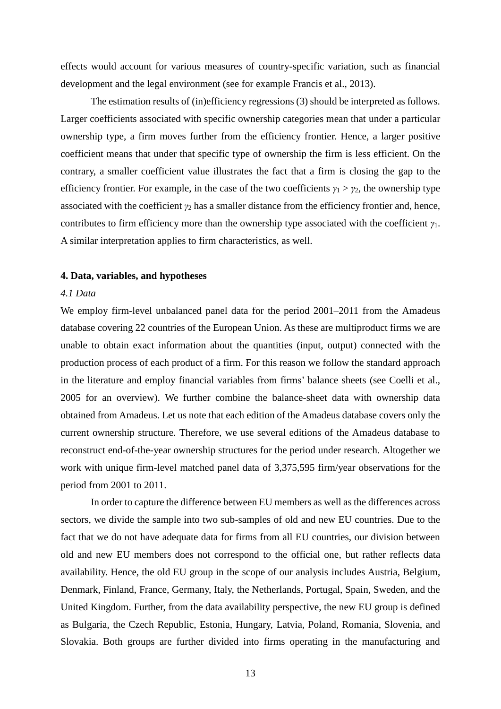effects would account for various measures of country-specific variation, such as financial development and the legal environment (see for example Francis et al., 2013).

The estimation results of (in)efficiency regressions (3) should be interpreted as follows. Larger coefficients associated with specific ownership categories mean that under a particular ownership type, a firm moves further from the efficiency frontier. Hence, a larger positive coefficient means that under that specific type of ownership the firm is less efficient. On the contrary, a smaller coefficient value illustrates the fact that a firm is closing the gap to the efficiency frontier. For example, in the case of the two coefficients  $\gamma_1 > \gamma_2$ , the ownership type associated with the coefficient *γ*<sup>2</sup> has a smaller distance from the efficiency frontier and, hence, contributes to firm efficiency more than the ownership type associated with the coefficient *γ*1. A similar interpretation applies to firm characteristics, as well.

#### **4. Data, variables, and hypotheses**

## *4.1 Data*

We employ firm-level unbalanced panel data for the period 2001–2011 from the Amadeus database covering 22 countries of the European Union. As these are multiproduct firms we are unable to obtain exact information about the quantities (input, output) connected with the production process of each product of a firm. For this reason we follow the standard approach in the literature and employ financial variables from firms' balance sheets (see Coelli et al., 2005 for an overview). We further combine the balance-sheet data with ownership data obtained from Amadeus. Let us note that each edition of the Amadeus database covers only the current ownership structure. Therefore, we use several editions of the Amadeus database to reconstruct end-of-the-year ownership structures for the period under research. Altogether we work with unique firm-level matched panel data of 3,375,595 firm/year observations for the period from 2001 to 2011.

In order to capture the difference between EU members as well as the differences across sectors, we divide the sample into two sub-samples of old and new EU countries. Due to the fact that we do not have adequate data for firms from all EU countries, our division between old and new EU members does not correspond to the official one, but rather reflects data availability. Hence, the old EU group in the scope of our analysis includes Austria, Belgium, Denmark, Finland, France, Germany, Italy, the Netherlands, Portugal, Spain, Sweden, and the United Kingdom. Further, from the data availability perspective, the new EU group is defined as Bulgaria, the Czech Republic, Estonia, Hungary, Latvia, Poland, Romania, Slovenia, and Slovakia. Both groups are further divided into firms operating in the manufacturing and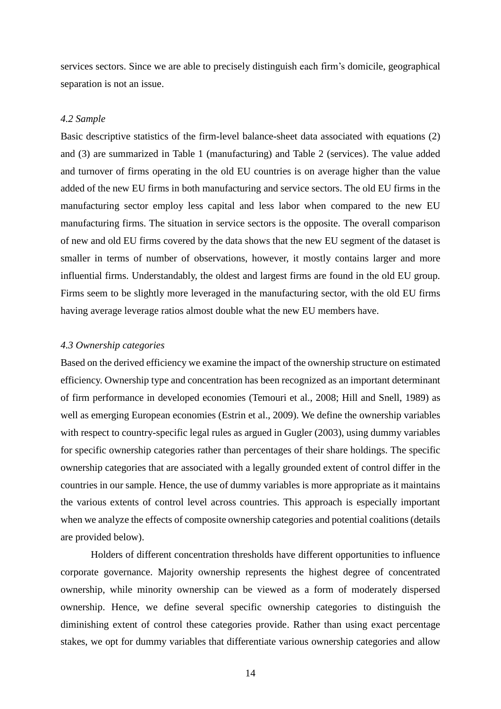services sectors. Since we are able to precisely distinguish each firm's domicile, geographical separation is not an issue.

## *4.2 Sample*

Basic descriptive statistics of the firm-level balance-sheet data associated with equations (2) and (3) are summarized in Table 1 (manufacturing) and Table 2 (services). The value added and turnover of firms operating in the old EU countries is on average higher than the value added of the new EU firms in both manufacturing and service sectors. The old EU firms in the manufacturing sector employ less capital and less labor when compared to the new EU manufacturing firms. The situation in service sectors is the opposite. The overall comparison of new and old EU firms covered by the data shows that the new EU segment of the dataset is smaller in terms of number of observations, however, it mostly contains larger and more influential firms. Understandably, the oldest and largest firms are found in the old EU group. Firms seem to be slightly more leveraged in the manufacturing sector, with the old EU firms having average leverage ratios almost double what the new EU members have.

## *4.3 Ownership categories*

Based on the derived efficiency we examine the impact of the ownership structure on estimated efficiency. Ownership type and concentration has been recognized as an important determinant of firm performance in developed economies (Temouri et al., 2008; Hill and Snell, 1989) as well as emerging European economies (Estrin et al., 2009). We define the ownership variables with respect to country-specific legal rules as argued in Gugler (2003), using dummy variables for specific ownership categories rather than percentages of their share holdings. The specific ownership categories that are associated with a legally grounded extent of control differ in the countries in our sample. Hence, the use of dummy variables is more appropriate as it maintains the various extents of control level across countries. This approach is especially important when we analyze the effects of composite ownership categories and potential coalitions (details are provided below).

Holders of different concentration thresholds have different opportunities to influence corporate governance. Majority ownership represents the highest degree of concentrated ownership, while minority ownership can be viewed as a form of moderately dispersed ownership. Hence, we define several specific ownership categories to distinguish the diminishing extent of control these categories provide. Rather than using exact percentage stakes, we opt for dummy variables that differentiate various ownership categories and allow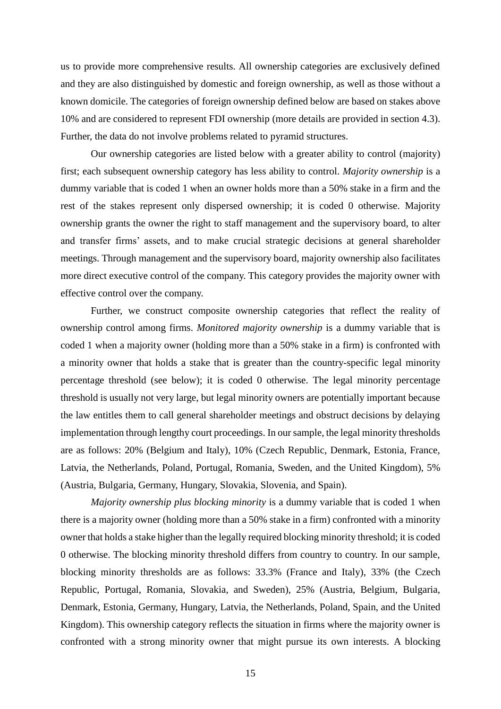us to provide more comprehensive results. All ownership categories are exclusively defined and they are also distinguished by domestic and foreign ownership, as well as those without a known domicile. The categories of foreign ownership defined below are based on stakes above 10% and are considered to represent FDI ownership (more details are provided in section 4.3). Further, the data do not involve problems related to pyramid structures.

Our ownership categories are listed below with a greater ability to control (majority) first; each subsequent ownership category has less ability to control. *Majority ownership* is a dummy variable that is coded 1 when an owner holds more than a 50% stake in a firm and the rest of the stakes represent only dispersed ownership; it is coded 0 otherwise. Majority ownership grants the owner the right to staff management and the supervisory board, to alter and transfer firms' assets, and to make crucial strategic decisions at general shareholder meetings. Through management and the supervisory board, majority ownership also facilitates more direct executive control of the company. This category provides the majority owner with effective control over the company.

Further, we construct composite ownership categories that reflect the reality of ownership control among firms. *Monitored majority ownership* is a dummy variable that is coded 1 when a majority owner (holding more than a 50% stake in a firm) is confronted with a minority owner that holds a stake that is greater than the country-specific legal minority percentage threshold (see below); it is coded 0 otherwise. The legal minority percentage threshold is usually not very large, but legal minority owners are potentially important because the law entitles them to call general shareholder meetings and obstruct decisions by delaying implementation through lengthy court proceedings. In our sample, the legal minority thresholds are as follows: 20% (Belgium and Italy), 10% (Czech Republic, Denmark, Estonia, France, Latvia, the Netherlands, Poland, Portugal, Romania, Sweden, and the United Kingdom), 5% (Austria, Bulgaria, Germany, Hungary, Slovakia, Slovenia, and Spain).

*Majority ownership plus blocking minority* is a dummy variable that is coded 1 when there is a majority owner (holding more than a 50% stake in a firm) confronted with a minority owner that holds a stake higher than the legally required blocking minority threshold; it is coded 0 otherwise. The blocking minority threshold differs from country to country. In our sample, blocking minority thresholds are as follows: 33.3% (France and Italy), 33% (the Czech Republic, Portugal, Romania, Slovakia, and Sweden), 25% (Austria, Belgium, Bulgaria, Denmark, Estonia, Germany, Hungary, Latvia, the Netherlands, Poland, Spain, and the United Kingdom). This ownership category reflects the situation in firms where the majority owner is confronted with a strong minority owner that might pursue its own interests. A blocking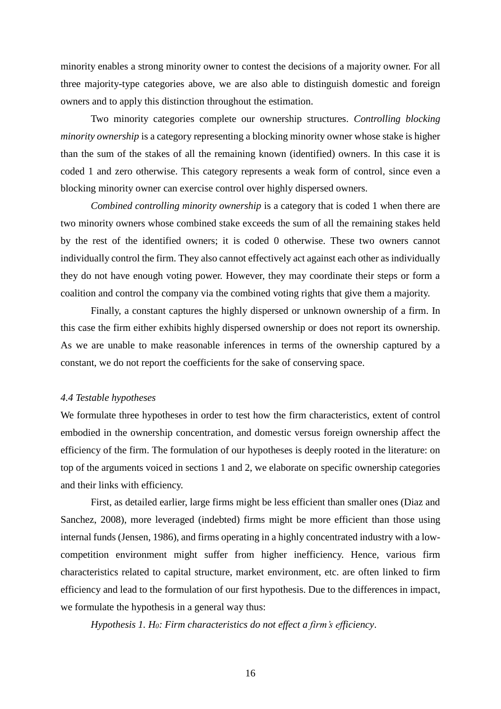minority enables a strong minority owner to contest the decisions of a majority owner. For all three majority-type categories above, we are also able to distinguish domestic and foreign owners and to apply this distinction throughout the estimation.

Two minority categories complete our ownership structures. *Controlling blocking minority ownership* is a category representing a blocking minority owner whose stake is higher than the sum of the stakes of all the remaining known (identified) owners. In this case it is coded 1 and zero otherwise. This category represents a weak form of control, since even a blocking minority owner can exercise control over highly dispersed owners.

*Combined controlling minority ownership* is a category that is coded 1 when there are two minority owners whose combined stake exceeds the sum of all the remaining stakes held by the rest of the identified owners; it is coded 0 otherwise. These two owners cannot individually control the firm. They also cannot effectively act against each other as individually they do not have enough voting power. However, they may coordinate their steps or form a coalition and control the company via the combined voting rights that give them a majority.

Finally, a constant captures the highly dispersed or unknown ownership of a firm. In this case the firm either exhibits highly dispersed ownership or does not report its ownership. As we are unable to make reasonable inferences in terms of the ownership captured by a constant, we do not report the coefficients for the sake of conserving space.

#### *4.4 Testable hypotheses*

We formulate three hypotheses in order to test how the firm characteristics, extent of control embodied in the ownership concentration, and domestic versus foreign ownership affect the efficiency of the firm. The formulation of our hypotheses is deeply rooted in the literature: on top of the arguments voiced in sections 1 and 2, we elaborate on specific ownership categories and their links with efficiency.

First, as detailed earlier, large firms might be less efficient than smaller ones (Diaz and Sanchez, 2008), more leveraged (indebted) firms might be more efficient than those using internal funds (Jensen, 1986), and firms operating in a highly concentrated industry with a lowcompetition environment might suffer from higher inefficiency. Hence, various firm characteristics related to capital structure, market environment, etc. are often linked to firm efficiency and lead to the formulation of our first hypothesis. Due to the differences in impact, we formulate the hypothesis in a general way thus:

*Hypothesis 1. H0: Firm characteristics do not effect a firm's efficiency*.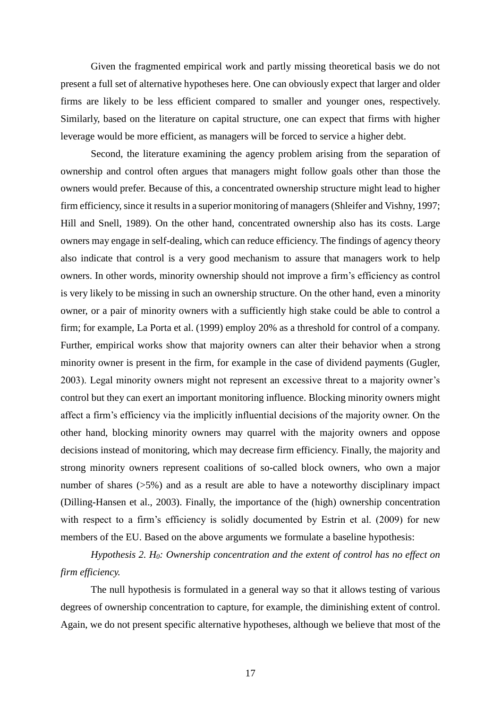Given the fragmented empirical work and partly missing theoretical basis we do not present a full set of alternative hypotheses here. One can obviously expect that larger and older firms are likely to be less efficient compared to smaller and younger ones, respectively. Similarly, based on the literature on capital structure, one can expect that firms with higher leverage would be more efficient, as managers will be forced to service a higher debt.

Second, the literature examining the agency problem arising from the separation of ownership and control often argues that managers might follow goals other than those the owners would prefer. Because of this, a concentrated ownership structure might lead to higher firm efficiency, since it results in a superior monitoring of managers (Shleifer and Vishny, 1997; Hill and Snell, 1989). On the other hand, concentrated ownership also has its costs. Large owners may engage in self-dealing, which can reduce efficiency. The findings of agency theory also indicate that control is a very good mechanism to assure that managers work to help owners. In other words, minority ownership should not improve a firm's efficiency as control is very likely to be missing in such an ownership structure. On the other hand, even a minority owner, or a pair of minority owners with a sufficiently high stake could be able to control a firm; for example, La Porta et al. (1999) employ 20% as a threshold for control of a company. Further, empirical works show that majority owners can alter their behavior when a strong minority owner is present in the firm, for example in the case of dividend payments (Gugler, 2003). Legal minority owners might not represent an excessive threat to a majority owner's control but they can exert an important monitoring influence. Blocking minority owners might affect a firm's efficiency via the implicitly influential decisions of the majority owner. On the other hand, blocking minority owners may quarrel with the majority owners and oppose decisions instead of monitoring, which may decrease firm efficiency. Finally, the majority and strong minority owners represent coalitions of so-called block owners, who own a major number of shares ( $>5\%$ ) and as a result are able to have a noteworthy disciplinary impact (Dilling-Hansen et al., 2003). Finally, the importance of the (high) ownership concentration with respect to a firm's efficiency is solidly documented by Estrin et al. (2009) for new members of the EU. Based on the above arguments we formulate a baseline hypothesis:

*Hypothesis 2. H0: Ownership concentration and the extent of control has no effect on firm efficiency.*

The null hypothesis is formulated in a general way so that it allows testing of various degrees of ownership concentration to capture, for example, the diminishing extent of control. Again, we do not present specific alternative hypotheses, although we believe that most of the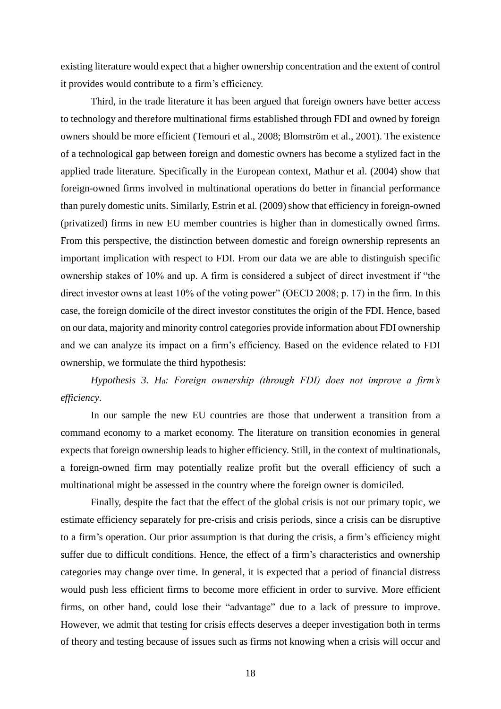existing literature would expect that a higher ownership concentration and the extent of control it provides would contribute to a firm's efficiency.

Third, in the trade literature it has been argued that foreign owners have better access to technology and therefore multinational firms established through FDI and owned by foreign owners should be more efficient (Temouri et al., 2008; Blomström et al., 2001). The existence of a technological gap between foreign and domestic owners has become a stylized fact in the applied trade literature. Specifically in the European context, Mathur et al. (2004) show that foreign-owned firms involved in multinational operations do better in financial performance than purely domestic units. Similarly, Estrin et al. (2009) show that efficiency in foreign-owned (privatized) firms in new EU member countries is higher than in domestically owned firms. From this perspective, the distinction between domestic and foreign ownership represents an important implication with respect to FDI. From our data we are able to distinguish specific ownership stakes of 10% and up. A firm is considered a subject of direct investment if "the direct investor owns at least 10% of the voting power" (OECD 2008; p. 17) in the firm. In this case, the foreign domicile of the direct investor constitutes the origin of the FDI. Hence, based on our data, majority and minority control categories provide information about FDI ownership and we can analyze its impact on a firm's efficiency. Based on the evidence related to FDI ownership, we formulate the third hypothesis:

*Hypothesis 3. H0: Foreign ownership (through FDI) does not improve a firm's efficiency*.

In our sample the new EU countries are those that underwent a transition from a command economy to a market economy. The literature on transition economies in general expects that foreign ownership leads to higher efficiency. Still, in the context of multinationals, a foreign-owned firm may potentially realize profit but the overall efficiency of such a multinational might be assessed in the country where the foreign owner is domiciled.

Finally, despite the fact that the effect of the global crisis is not our primary topic, we estimate efficiency separately for pre-crisis and crisis periods, since a crisis can be disruptive to a firm's operation. Our prior assumption is that during the crisis, a firm's efficiency might suffer due to difficult conditions. Hence, the effect of a firm's characteristics and ownership categories may change over time. In general, it is expected that a period of financial distress would push less efficient firms to become more efficient in order to survive. More efficient firms, on other hand, could lose their "advantage" due to a lack of pressure to improve. However, we admit that testing for crisis effects deserves a deeper investigation both in terms of theory and testing because of issues such as firms not knowing when a crisis will occur and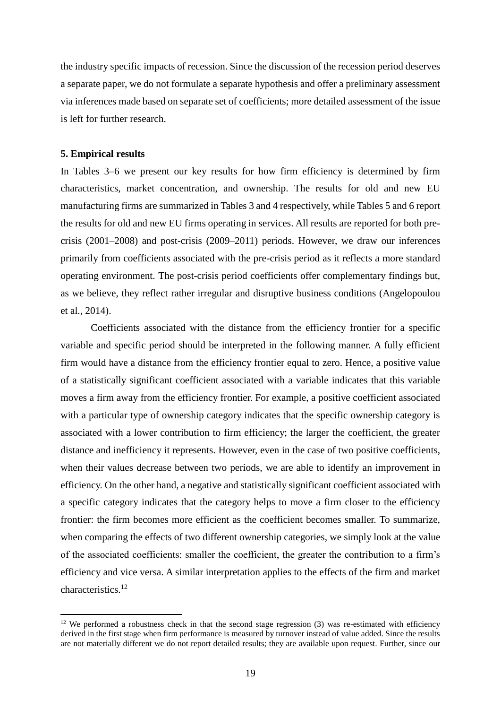the industry specific impacts of recession. Since the discussion of the recession period deserves a separate paper, we do not formulate a separate hypothesis and offer a preliminary assessment via inferences made based on separate set of coefficients; more detailed assessment of the issue is left for further research.

#### **5. Empirical results**

1

In Tables 3–6 we present our key results for how firm efficiency is determined by firm characteristics, market concentration, and ownership. The results for old and new EU manufacturing firms are summarized in Tables 3 and 4 respectively, while Tables 5 and 6 report the results for old and new EU firms operating in services. All results are reported for both precrisis (2001–2008) and post-crisis (2009–2011) periods. However, we draw our inferences primarily from coefficients associated with the pre-crisis period as it reflects a more standard operating environment. The post-crisis period coefficients offer complementary findings but, as we believe, they reflect rather irregular and disruptive business conditions (Angelopoulou et al., 2014).

Coefficients associated with the distance from the efficiency frontier for a specific variable and specific period should be interpreted in the following manner. A fully efficient firm would have a distance from the efficiency frontier equal to zero. Hence, a positive value of a statistically significant coefficient associated with a variable indicates that this variable moves a firm away from the efficiency frontier. For example, a positive coefficient associated with a particular type of ownership category indicates that the specific ownership category is associated with a lower contribution to firm efficiency; the larger the coefficient, the greater distance and inefficiency it represents. However, even in the case of two positive coefficients, when their values decrease between two periods, we are able to identify an improvement in efficiency. On the other hand, a negative and statistically significant coefficient associated with a specific category indicates that the category helps to move a firm closer to the efficiency frontier: the firm becomes more efficient as the coefficient becomes smaller. To summarize, when comparing the effects of two different ownership categories, we simply look at the value of the associated coefficients: smaller the coefficient, the greater the contribution to a firm's efficiency and vice versa. A similar interpretation applies to the effects of the firm and market characteristics.<sup>12</sup>

 $12$  We performed a robustness check in that the second stage regression (3) was re-estimated with efficiency derived in the first stage when firm performance is measured by turnover instead of value added. Since the results are not materially different we do not report detailed results; they are available upon request. Further, since our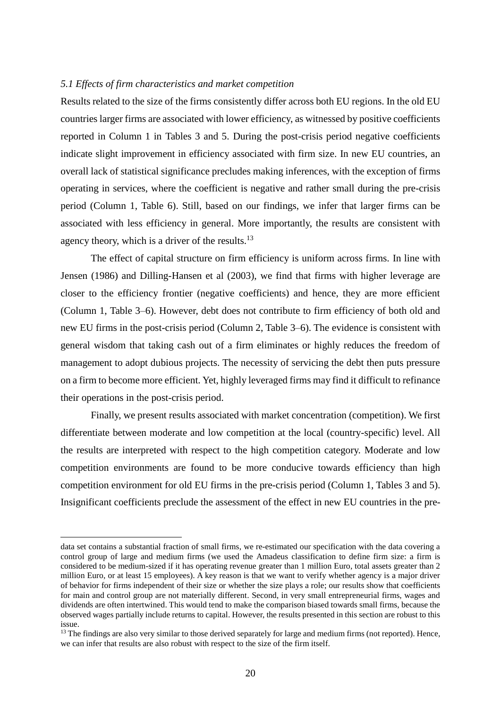## *5.1 Effects of firm characteristics and market competition*

Results related to the size of the firms consistently differ across both EU regions. In the old EU countries larger firms are associated with lower efficiency, as witnessed by positive coefficients reported in Column 1 in Tables 3 and 5. During the post-crisis period negative coefficients indicate slight improvement in efficiency associated with firm size. In new EU countries, an overall lack of statistical significance precludes making inferences, with the exception of firms operating in services, where the coefficient is negative and rather small during the pre-crisis period (Column 1, Table 6). Still, based on our findings, we infer that larger firms can be associated with less efficiency in general. More importantly, the results are consistent with agency theory, which is a driver of the results.<sup>13</sup>

The effect of capital structure on firm efficiency is uniform across firms. In line with Jensen (1986) and Dilling-Hansen et al (2003), we find that firms with higher leverage are closer to the efficiency frontier (negative coefficients) and hence, they are more efficient (Column 1, Table 3–6). However, debt does not contribute to firm efficiency of both old and new EU firms in the post-crisis period (Column 2, Table 3–6). The evidence is consistent with general wisdom that taking cash out of a firm eliminates or highly reduces the freedom of management to adopt dubious projects. The necessity of servicing the debt then puts pressure on a firm to become more efficient. Yet, highly leveraged firms may find it difficult to refinance their operations in the post-crisis period.

Finally, we present results associated with market concentration (competition). We first differentiate between moderate and low competition at the local (country-specific) level. All the results are interpreted with respect to the high competition category. Moderate and low competition environments are found to be more conducive towards efficiency than high competition environment for old EU firms in the pre-crisis period (Column 1, Tables 3 and 5). Insignificant coefficients preclude the assessment of the effect in new EU countries in the pre-

<u>.</u>

data set contains a substantial fraction of small firms, we re-estimated our specification with the data covering a control group of large and medium firms (we used the Amadeus classification to define firm size: a firm is considered to be medium-sized if it has operating revenue greater than 1 million Euro, total assets greater than 2 million Euro, or at least 15 employees). A key reason is that we want to verify whether agency is a major driver of behavior for firms independent of their size or whether the size plays a role; our results show that coefficients for main and control group are not materially different. Second, in very small entrepreneurial firms, wages and dividends are often intertwined. This would tend to make the comparison biased towards small firms, because the observed wages partially include returns to capital. However, the results presented in this section are robust to this issue.

 $<sup>13</sup>$  The findings are also very similar to those derived separately for large and medium firms (not reported). Hence,</sup> we can infer that results are also robust with respect to the size of the firm itself.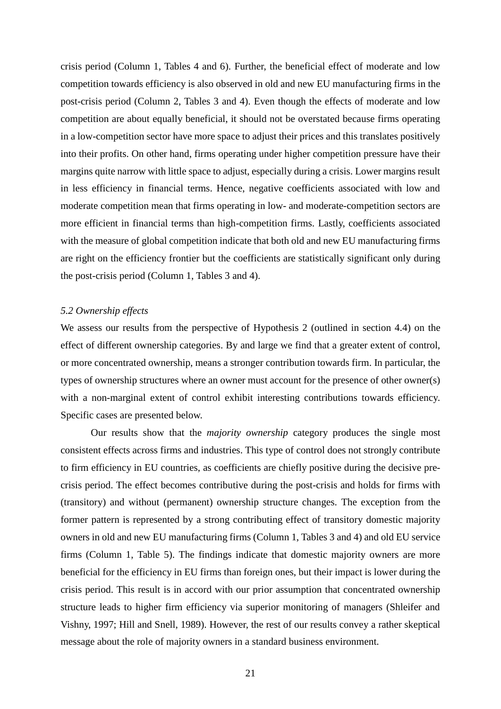crisis period (Column 1, Tables 4 and 6). Further, the beneficial effect of moderate and low competition towards efficiency is also observed in old and new EU manufacturing firms in the post-crisis period (Column 2, Tables 3 and 4). Even though the effects of moderate and low competition are about equally beneficial, it should not be overstated because firms operating in a low-competition sector have more space to adjust their prices and this translates positively into their profits. On other hand, firms operating under higher competition pressure have their margins quite narrow with little space to adjust, especially during a crisis. Lower margins result in less efficiency in financial terms. Hence, negative coefficients associated with low and moderate competition mean that firms operating in low- and moderate-competition sectors are more efficient in financial terms than high-competition firms. Lastly, coefficients associated with the measure of global competition indicate that both old and new EU manufacturing firms are right on the efficiency frontier but the coefficients are statistically significant only during the post-crisis period (Column 1, Tables 3 and 4).

#### *5.2 Ownership effects*

We assess our results from the perspective of Hypothesis 2 (outlined in section 4.4) on the effect of different ownership categories. By and large we find that a greater extent of control, or more concentrated ownership, means a stronger contribution towards firm. In particular, the types of ownership structures where an owner must account for the presence of other owner(s) with a non-marginal extent of control exhibit interesting contributions towards efficiency. Specific cases are presented below.

Our results show that the *majority ownership* category produces the single most consistent effects across firms and industries. This type of control does not strongly contribute to firm efficiency in EU countries, as coefficients are chiefly positive during the decisive precrisis period. The effect becomes contributive during the post-crisis and holds for firms with (transitory) and without (permanent) ownership structure changes. The exception from the former pattern is represented by a strong contributing effect of transitory domestic majority owners in old and new EU manufacturing firms (Column 1, Tables 3 and 4) and old EU service firms (Column 1, Table 5). The findings indicate that domestic majority owners are more beneficial for the efficiency in EU firms than foreign ones, but their impact is lower during the crisis period. This result is in accord with our prior assumption that concentrated ownership structure leads to higher firm efficiency via superior monitoring of managers (Shleifer and Vishny, 1997; Hill and Snell, 1989). However, the rest of our results convey a rather skeptical message about the role of majority owners in a standard business environment.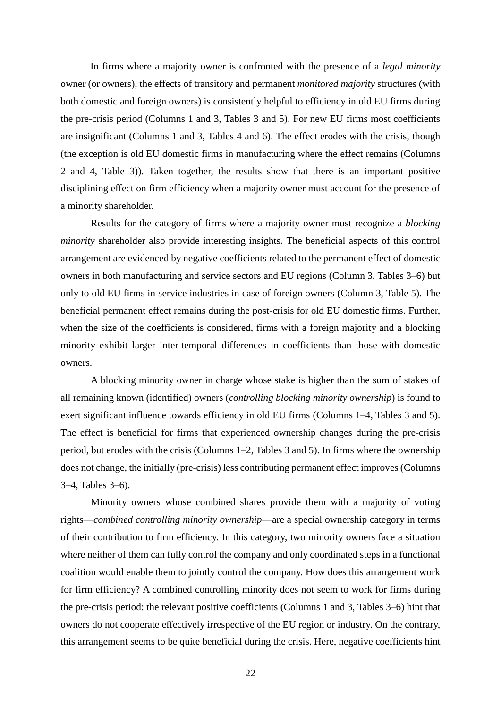In firms where a majority owner is confronted with the presence of a *legal minority* owner (or owners), the effects of transitory and permanent *monitored majority* structures (with both domestic and foreign owners) is consistently helpful to efficiency in old EU firms during the pre-crisis period (Columns 1 and 3, Tables 3 and 5). For new EU firms most coefficients are insignificant (Columns 1 and 3, Tables 4 and 6). The effect erodes with the crisis, though (the exception is old EU domestic firms in manufacturing where the effect remains (Columns 2 and 4, Table 3)). Taken together, the results show that there is an important positive disciplining effect on firm efficiency when a majority owner must account for the presence of a minority shareholder.

Results for the category of firms where a majority owner must recognize a *blocking minority* shareholder also provide interesting insights. The beneficial aspects of this control arrangement are evidenced by negative coefficients related to the permanent effect of domestic owners in both manufacturing and service sectors and EU regions (Column 3, Tables 3–6) but only to old EU firms in service industries in case of foreign owners (Column 3, Table 5). The beneficial permanent effect remains during the post-crisis for old EU domestic firms. Further, when the size of the coefficients is considered, firms with a foreign majority and a blocking minority exhibit larger inter-temporal differences in coefficients than those with domestic owners.

A blocking minority owner in charge whose stake is higher than the sum of stakes of all remaining known (identified) owners (*controlling blocking minority ownership*) is found to exert significant influence towards efficiency in old EU firms (Columns 1–4, Tables 3 and 5). The effect is beneficial for firms that experienced ownership changes during the pre-crisis period, but erodes with the crisis (Columns 1–2, Tables 3 and 5). In firms where the ownership does not change, the initially (pre-crisis) less contributing permanent effect improves (Columns 3–4, Tables 3–6).

Minority owners whose combined shares provide them with a majority of voting rights—*combined controlling minority ownership*—are a special ownership category in terms of their contribution to firm efficiency. In this category, two minority owners face a situation where neither of them can fully control the company and only coordinated steps in a functional coalition would enable them to jointly control the company. How does this arrangement work for firm efficiency? A combined controlling minority does not seem to work for firms during the pre-crisis period: the relevant positive coefficients (Columns 1 and 3, Tables 3–6) hint that owners do not cooperate effectively irrespective of the EU region or industry. On the contrary, this arrangement seems to be quite beneficial during the crisis. Here, negative coefficients hint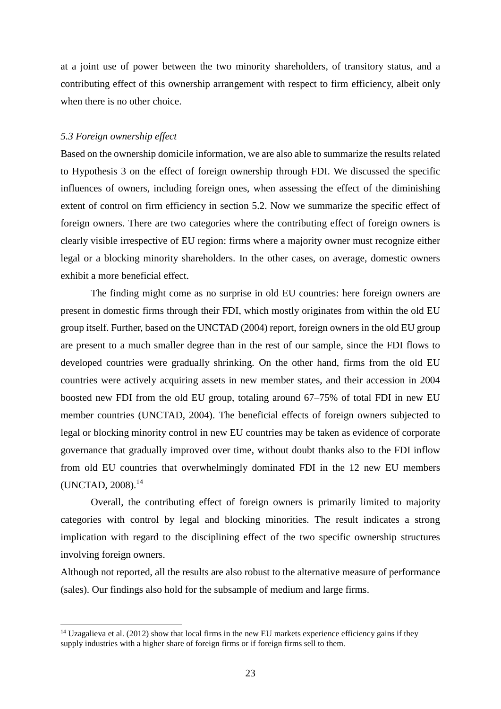at a joint use of power between the two minority shareholders, of transitory status, and a contributing effect of this ownership arrangement with respect to firm efficiency, albeit only when there is no other choice.

## *5.3 Foreign ownership effect*

<u>.</u>

Based on the ownership domicile information, we are also able to summarize the results related to Hypothesis 3 on the effect of foreign ownership through FDI. We discussed the specific influences of owners, including foreign ones, when assessing the effect of the diminishing extent of control on firm efficiency in section 5.2. Now we summarize the specific effect of foreign owners. There are two categories where the contributing effect of foreign owners is clearly visible irrespective of EU region: firms where a majority owner must recognize either legal or a blocking minority shareholders. In the other cases, on average, domestic owners exhibit a more beneficial effect.

The finding might come as no surprise in old EU countries: here foreign owners are present in domestic firms through their FDI, which mostly originates from within the old EU group itself. Further, based on the UNCTAD (2004) report, foreign owners in the old EU group are present to a much smaller degree than in the rest of our sample, since the FDI flows to developed countries were gradually shrinking. On the other hand, firms from the old EU countries were actively acquiring assets in new member states, and their accession in 2004 boosted new FDI from the old EU group, totaling around 67–75% of total FDI in new EU member countries (UNCTAD, 2004). The beneficial effects of foreign owners subjected to legal or blocking minority control in new EU countries may be taken as evidence of corporate governance that gradually improved over time, without doubt thanks also to the FDI inflow from old EU countries that overwhelmingly dominated FDI in the 12 new EU members (UNCTAD, 2008).<sup>14</sup>

Overall, the contributing effect of foreign owners is primarily limited to majority categories with control by legal and blocking minorities. The result indicates a strong implication with regard to the disciplining effect of the two specific ownership structures involving foreign owners.

Although not reported, all the results are also robust to the alternative measure of performance (sales). Our findings also hold for the subsample of medium and large firms.

 $14$  Uzagalieva et al. (2012) show that local firms in the new EU markets experience efficiency gains if they supply industries with a higher share of foreign firms or if foreign firms sell to them.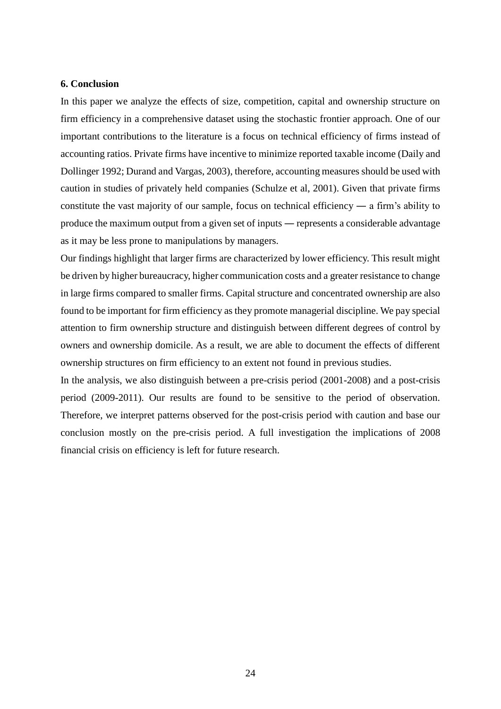## **6. Conclusion**

In this paper we analyze the effects of size, competition, capital and ownership structure on firm efficiency in a comprehensive dataset using the stochastic frontier approach. One of our important contributions to the literature is a focus on technical efficiency of firms instead of accounting ratios. Private firms have incentive to minimize reported taxable income (Daily and Dollinger 1992; Durand and Vargas, 2003), therefore, accounting measures should be used with caution in studies of privately held companies (Schulze et al, 2001). Given that private firms constitute the vast majority of our sample, focus on technical efficiency ― a firm's ability to produce the maximum output from a given set of inputs ― represents a considerable advantage as it may be less prone to manipulations by managers.

Our findings highlight that larger firms are characterized by lower efficiency. This result might be driven by higher bureaucracy, higher communication costs and a greater resistance to change in large firms compared to smaller firms. Capital structure and concentrated ownership are also found to be important for firm efficiency as they promote managerial discipline. We pay special attention to firm ownership structure and distinguish between different degrees of control by owners and ownership domicile. As a result, we are able to document the effects of different ownership structures on firm efficiency to an extent not found in previous studies.

In the analysis, we also distinguish between a pre-crisis period (2001-2008) and a post-crisis period (2009-2011). Our results are found to be sensitive to the period of observation. Therefore, we interpret patterns observed for the post-crisis period with caution and base our conclusion mostly on the pre-crisis period. A full investigation the implications of 2008 financial crisis on efficiency is left for future research.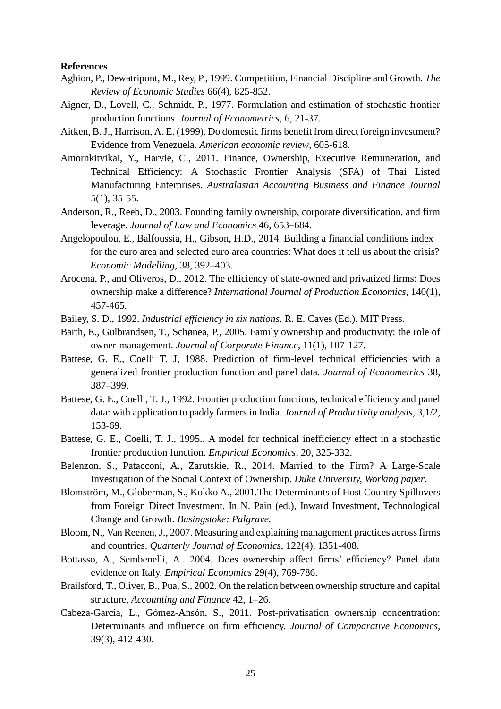#### **References**

- Aghion, P., Dewatripont, M., Rey, P., 1999. Competition, Financial Discipline and Growth. *The Review of Economic Studies* 66(4), 825-852.
- Aigner, D., Lovell, C., Schmidt, P., 1977. Formulation and estimation of stochastic frontier production functions. *Journal of Econometrics*, 6, 21-37.
- Aitken, B. J., Harrison, A. E. (1999). Do domestic firms benefit from direct foreign investment? Evidence from Venezuela. *American economic review*, 605-618.
- Amornkitvikai, Y., Harvie, C., 2011. Finance, Ownership, Executive Remuneration, and Technical Efficiency: A Stochastic Frontier Analysis (SFA) of Thai Listed Manufacturing Enterprises. *Australasian Accounting Business and Finance Journal* 5(1), 35-55.
- Anderson, R., Reeb, D., 2003. Founding family ownership, corporate diversification, and firm leverage. *Journal of Law and Economics* 46, 653–684.
- Angelopoulou, E., Balfoussia, H., Gibson, H.D., 2014. Building a financial conditions index for the euro area and selected euro area countries: What does it tell us about the crisis? *Economic Modelling,* 38, 392–403.
- Arocena, P., and Oliveros, D., 2012. The efficiency of state-owned and privatized firms: Does ownership make a difference? *International Journal of Production Economics*, 140(1), 457-465.
- Bailey, S. D., 1992. *Industrial efficiency in six nations.* R. E. Caves (Ed.). MIT Press.
- Barth, E., Gulbrandsen, T., Schønea, P., 2005. Family ownership and productivity: the role of owner-management. *Journal of Corporate Finance*, 11(1), 107-127.
- Battese, G. E., Coelli T. J, 1988. Prediction of firm-level technical efficiencies with a generalized frontier production function and panel data. *Journal of Econometrics* 38, 387–399.
- Battese, G. E., Coelli, T. J., 1992. Frontier production functions, technical efficiency and panel data: with application to paddy farmers in India. *Journal of Productivity analysis,* 3,1/2, 153-69.
- Battese, G. E., Coelli, T. J., 1995.. A model for technical inefficiency effect in a stochastic frontier production function. *Empirical Economics*, 20, 325-332.
- Belenzon, S., Patacconi, A., Zarutskie, R., 2014. Married to the Firm? A Large-Scale Investigation of the Social Context of Ownership. *Duke University, Working paper*.
- Blomström, M., Globerman, S., Kokko A., 2001.The Determinants of Host Country Spillovers from Foreign Direct Investment. In N. Pain (ed.), Inward Investment, Technological Change and Growth. *Basingstoke: Palgrave.*
- Bloom, N., Van Reenen,J., 2007. Measuring and explaining management practices across firms and countries. *Quarterly Journal of Economics*, 122(4), 1351-408.
- Bottasso, A., Sembenelli, A.. 2004. Does ownership affect firms' efficiency? Panel data evidence on Italy. *Empirical Economics* 29(4), 769-786.
- Brailsford, T., Oliver, B., Pua, S., 2002. On the relation between ownership structure and capital structure, *Accounting and Finance* 42, 1–26.
- Cabeza-García, L., Gómez-Ansón, S., 2011. Post-privatisation ownership concentration: Determinants and influence on firm efficiency. *Journal of Comparative Economics*, 39(3), 412-430.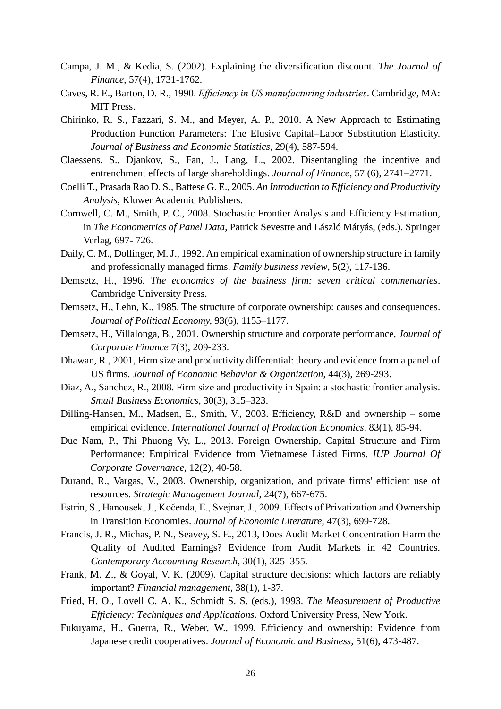- Campa, J. M., & Kedia, S. (2002). Explaining the diversification discount. *The Journal of Finance*, 57(4), 1731-1762.
- Caves, R. E., Barton, D. R., 1990. *Efficiency in US manufacturing industries*. Cambridge, MA: MIT Press.
- Chirinko, R. S., Fazzari, S. M., and Meyer, A. P., 2010. A New Approach to Estimating Production Function Parameters: The Elusive Capital–Labor Substitution Elasticity. *Journal of Business and Economic Statistics*, 29(4), 587-594.
- Claessens, S., Djankov, S., Fan, J., Lang, L., 2002. Disentangling the incentive and entrenchment effects of large shareholdings. *Journal of Finance,* 57 (6), 2741–2771.
- Coelli T., Prasada Rao D. S., Battese G. E., 2005. *An Introduction to Efficiency and Productivity Analysis*, Kluwer Academic Publishers.
- Cornwell, C. M., Smith, P. C., 2008. Stochastic Frontier Analysis and Efficiency Estimation, in *The Econometrics of Panel Data*, Patrick Sevestre and László Mátyás, (eds.). Springer Verlag, 697- 726.
- Daily, C. M., Dollinger, M. J., 1992. An empirical examination of ownership structure in family and professionally managed firms. *Family business review*, 5(2), 117-136.
- Demsetz, H., 1996. *The economics of the business firm: seven critical commentaries*. Cambridge University Press.
- Demsetz, H., Lehn, K., 1985. The structure of corporate ownership: causes and consequences. *Journal of Political Economy,* 93(6), 1155–1177.
- Demsetz, H., Villalonga, B., 2001. Ownership structure and corporate performance, *Journal of Corporate Finance* 7(3), 209-233.
- Dhawan, R., 2001, Firm size and productivity differential: theory and evidence from a panel of US firms. *Journal of Economic Behavior & Organization*, 44(3), 269-293.
- Diaz, A., Sanchez, R., 2008. Firm size and productivity in Spain: a stochastic frontier analysis. *Small Business Economics,* 30(3), 315–323.
- Dilling-Hansen, M., Madsen, E., Smith, V., 2003. Efficiency, R&D and ownership some empirical evidence. *International Journal of Production Economics,* 83(1), 85-94.
- Duc Nam, P., Thi Phuong Vy, L., 2013. Foreign Ownership, Capital Structure and Firm Performance: Empirical Evidence from Vietnamese Listed Firms. *IUP Journal Of Corporate Governance,* 12(2), 40-58.
- Durand, R., Vargas, V., 2003. Ownership, organization, and private firms' efficient use of resources. *Strategic Management Journal*, 24(7), 667-675.
- Estrin, S., Hanousek, J., Kočenda, E., Svejnar, J., 2009. Effects of Privatization and Ownership in Transition Economies. *Journal of Economic Literature*, 47(3), 699-728.
- Francis, J. R., Michas, P. N., Seavey, S. E., 2013, Does Audit Market Concentration Harm the Quality of Audited Earnings? Evidence from Audit Markets in 42 Countries. *Contemporary Accounting Research*, 30(1), 325–355.
- Frank, M. Z., & Goyal, V. K. (2009). Capital structure decisions: which factors are reliably important? *Financial management*, 38(1), 1-37.
- Fried, H. O., Lovell C. A. K., Schmidt S. S. (eds.), 1993. *The Measurement of Productive Efficiency: Techniques and Applications*. Oxford University Press, New York.
- Fukuyama, H., Guerra, R., Weber, W., 1999. Efficiency and ownership: Evidence from Japanese credit cooperatives. *Journal of Economic and Business,* 51(6), 473-487.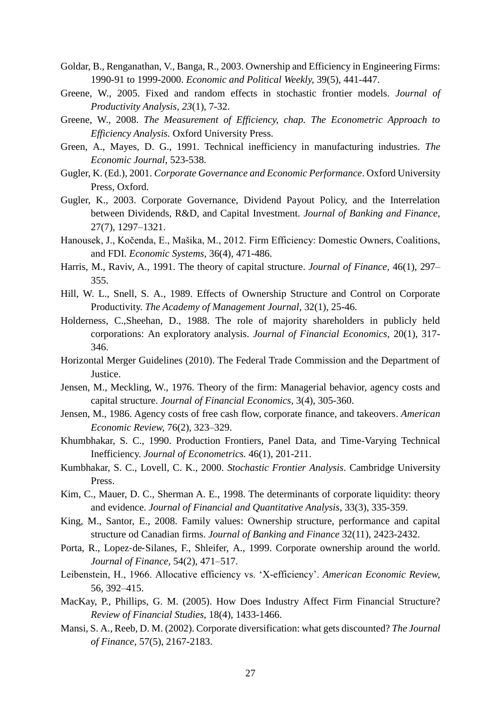- Goldar, B., Renganathan, V., Banga, R., 2003. Ownership and Efficiency in Engineering Firms: 1990-91 to 1999-2000. *Economic and Political Weekly,* 39(5), 441-447.
- Greene, W., 2005. Fixed and random effects in stochastic frontier models. *Journal of Productivity Analysis*, *23*(1), 7-32.
- Greene, W., 2008. *The Measurement of Efficiency, chap. The Econometric Approach to Efficiency Analysis.* Oxford University Press.
- Green, A., Mayes, D. G., 1991. Technical inefficiency in manufacturing industries. *The Economic Journal*, 523-538.
- Gugler, K. (Ed.), 2001. *Corporate Governance and Economic Performance*. Oxford University Press, Oxford.
- Gugler, K., 2003. Corporate Governance, Dividend Payout Policy, and the Interrelation between Dividends, R&D, and Capital Investment. *Journal of Banking and Finance,* 27(7), 1297–1321.
- Hanousek, J., Kočenda, E., Mašika, M., 2012. Firm Efficiency: Domestic Owners, Coalitions, and FDI. *Economic Systems*, 36(4), 471-486.
- Harris, M., Raviv, A., 1991. The theory of capital structure. *Journal of Finance,* 46(1), 297– 355.
- Hill, W. L., Snell, S. A., 1989. Effects of Ownership Structure and Control on Corporate Productivity. *The Academy of Management Journal*, 32(1), 25-46.
- Holderness, C.,Sheehan, D., 1988. The role of majority shareholders in publicly held corporations: An exploratory analysis. *Journal of Financial Economics,* 20(1), 317- 346.
- Horizontal Merger Guidelines (2010). The Federal Trade Commission and the Department of Justice.
- Jensen, M., Meckling, W., 1976. Theory of the firm: Managerial behavior, agency costs and capital structure. *Journal of Financial Economics,* 3(4), 305-360.
- Jensen, M., 1986. Agency costs of free cash flow, corporate finance, and takeovers. *American Economic Review,* 76(2), 323–329.
- Khumbhakar, S. C., 1990. Production Frontiers, Panel Data, and Time-Varying Technical Inefficiency. *Journal of Econometrics.* 46(1), 201-211.
- Kumbhakar, S. C., Lovell, C. K., 2000. *Stochastic Frontier Analysis*. Cambridge University Press.
- Kim, C., Mauer, D. C., Sherman A. E., 1998. The determinants of corporate liquidity: theory and evidence. *Journal of Financial and Quantitative Analysis*, 33(3), 335-359.
- King, M., Santor, E., 2008. Family values: Ownership structure, performance and capital structure od Canadian firms. *Journal of Banking and Finance* 32(11), 2423-2432.
- Porta, R., Lopez‐de‐Silanes, F., Shleifer, A., 1999. Corporate ownership around the world. *Journal of Finance,* 54(2), 471–517.
- Leibenstein, H., 1966. Allocative efficiency vs. 'X-efficiency'. *American Economic Review,* 56, 392–415.
- MacKay, P., Phillips, G. M. (2005). How Does Industry Affect Firm Financial Structure? *Review of Financial Studies*, 18(4), 1433-1466.
- Mansi, S. A., Reeb, D. M. (2002). Corporate diversification: what gets discounted? *The Journal of Finance*, 57(5), 2167-2183.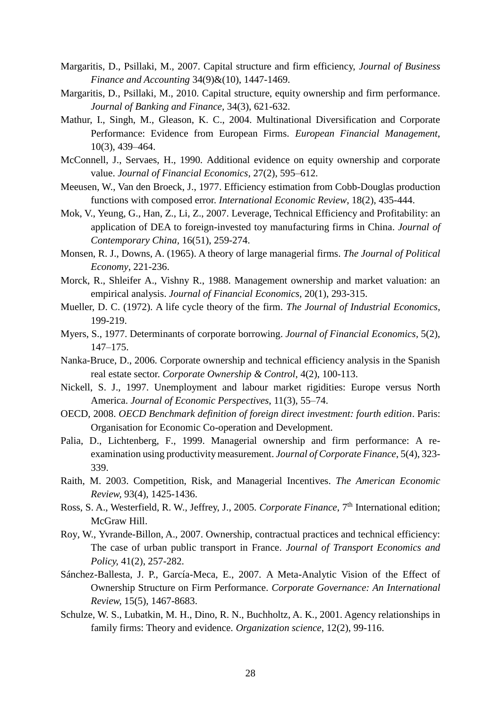- Margaritis, D., Psillaki, M., 2007. Capital structure and firm efficiency, *Journal of Business Finance and Accounting* 34(9)&(10), 1447-1469.
- Margaritis, D., Psillaki, M., 2010. Capital structure, equity ownership and firm performance. *Journal of Banking and Finance,* 34(3), 621-632.
- Mathur, I., Singh, M., Gleason, K. C., 2004. Multinational Diversification and Corporate Performance: Evidence from European Firms. *European Financial Management*, 10(3), 439–464.
- McConnell, J., Servaes, H., 1990. Additional evidence on equity ownership and corporate value. *Journal of Financial Economics,* 27(2), 595–612.
- Meeusen, W., Van den Broeck, J., 1977. Efficiency estimation from Cobb-Douglas production functions with composed error. *International Economic Review*, 18(2), 435-444.
- Mok, V., Yeung, G., Han, Z., Li, Z., 2007. Leverage, Technical Efficiency and Profitability: an application of DEA to foreign-invested toy manufacturing firms in China. *Journal of Contemporary China,* 16(51), 259-274.
- Monsen, R. J., Downs, A. (1965). A theory of large managerial firms. *The Journal of Political Economy*, 221-236.
- Morck, R., Shleifer A., Vishny R., 1988. Management ownership and market valuation: an empirical analysis. *Journal of Financial Economics,* 20(1), 293-315.
- Mueller, D. C. (1972). A life cycle theory of the firm. *The Journal of Industrial Economics*, 199-219.
- Myers, S., 1977. Determinants of corporate borrowing. *Journal of Financial Economics,* 5(2), 147–175.
- Nanka-Bruce, D., 2006. Corporate ownership and technical efficiency analysis in the Spanish real estate sector. *Corporate Ownership & Control*, 4(2), 100-113.
- Nickell, S. J., 1997. Unemployment and labour market rigidities: Europe versus North America. *Journal of Economic Perspectives*, 11(3), 55–74.
- OECD, 2008. *OECD Benchmark definition of foreign direct investment: fourth edition*. Paris: Organisation for Economic Co-operation and Development.
- Palia, D., Lichtenberg, F., 1999. Managerial ownership and firm performance: A reexamination using productivity measurement. *Journal of Corporate Finance*, 5(4), 323- 339.
- Raith, M. 2003. Competition, Risk, and Managerial Incentives. *The American Economic Review,* 93(4), 1425-1436.
- Ross, S. A., Westerfield, R. W., Jeffrey, J., 2005. *Corporate Finance*, 7<sup>th</sup> International edition; McGraw Hill.
- Roy, W., Yvrande-Billon, A., 2007. Ownership, contractual practices and technical efficiency: The case of urban public transport in France. *Journal of Transport Economics and Policy,* 41(2), 257-282.
- Sánchez-Ballesta, J. P., García-Meca, E., 2007. A Meta-Analytic Vision of the Effect of Ownership Structure on Firm Performance. *Corporate Governance: An International Review,* 15(5), 1467-8683.
- Schulze, W. S., Lubatkin, M. H., Dino, R. N., Buchholtz, A. K., 2001. Agency relationships in family firms: Theory and evidence. *Organization science*, 12(2), 99-116.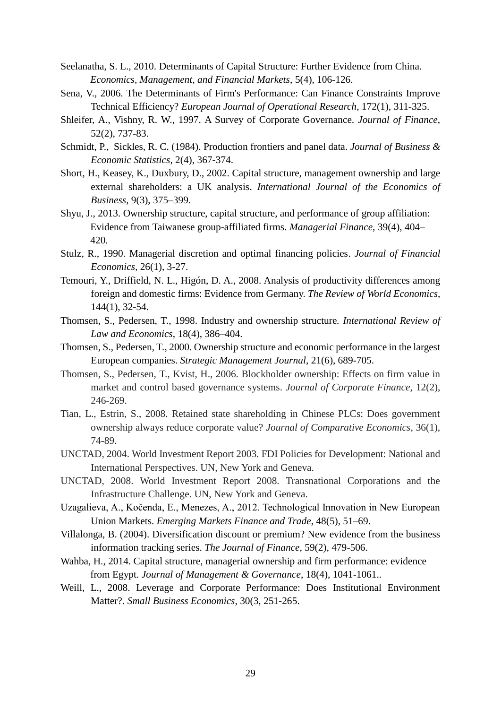- Seelanatha, S. L., 2010. Determinants of Capital Structure: Further Evidence from China. *Economics, Management, and Financial Markets*, 5(4), 106-126.
- Sena, V., 2006. The Determinants of Firm's Performance: Can Finance Constraints Improve Technical Efficiency? *European Journal of Operational Research*, 172(1), 311-325.
- Shleifer, A., Vishny, R. W., 1997. A Survey of Corporate Governance. *Journal of Finance*, 52(2), 737-83.
- Schmidt, P., Sickles, R. C. (1984). Production frontiers and panel data. *Journal of Business & Economic Statistics*, 2(4), 367-374.
- Short, H., Keasey, K., Duxbury, D., 2002. Capital structure, management ownership and large external shareholders: a UK analysis. *International Journal of the Economics of Business,* 9(3), 375–399.
- Shyu, J., 2013. Ownership structure, capital structure, and performance of group affiliation: Evidence from Taiwanese group-affiliated firms. *Managerial Finance*, 39(4), 404– 420.
- Stulz, R., 1990. Managerial discretion and optimal financing policies. *Journal of Financial Economics,* 26(1), 3-27.
- Temouri, Y., Driffield, N. L., Higón, D. A., 2008. Analysis of productivity differences among foreign and domestic firms: Evidence from Germany. *The Review of World Economics*, 144(1), 32-54.
- Thomsen, S., Pedersen, T., 1998. Industry and ownership structure*. International Review of Law and Economics*, 18(4), 386–404.
- Thomsen, S., Pedersen, T., 2000. Ownership structure and economic performance in the largest European companies. *Strategic Management Journal,* 21(6), 689-705.
- Thomsen, S., Pedersen, T., Kvist, H., 2006. Blockholder ownership: Effects on firm value in market and control based governance systems. *Journal of Corporate Finance,* 12(2), 246-269.
- Tian, L., Estrin, S., 2008. Retained state shareholding in Chinese PLCs: Does government ownership always reduce corporate value? *Journal of Comparative Economics*, 36(1), 74-89.
- UNCTAD, 2004. World Investment Report 2003. FDI Policies for Development: National and International Perspectives. UN, New York and Geneva.
- UNCTAD, 2008. World Investment Report 2008. Transnational Corporations and the Infrastructure Challenge. UN, New York and Geneva.
- Uzagalieva, A., Kočenda, E., Menezes, A., 2012. Technological Innovation in New European Union Markets. *Emerging Markets Finance and Trade*, 48(5), 51–69.
- Villalonga, B. (2004). Diversification discount or premium? New evidence from the business information tracking series. *The Journal of Finance*, 59(2), 479-506.
- Wahba, H., 2014. Capital structure, managerial ownership and firm performance: evidence from Egypt. *Journal of Management & Governance*, 18(4), 1041-1061..
- Weill, L., 2008. Leverage and Corporate Performance: Does Institutional Environment Matter?. *Small Business Economics,* 30(3, 251-265.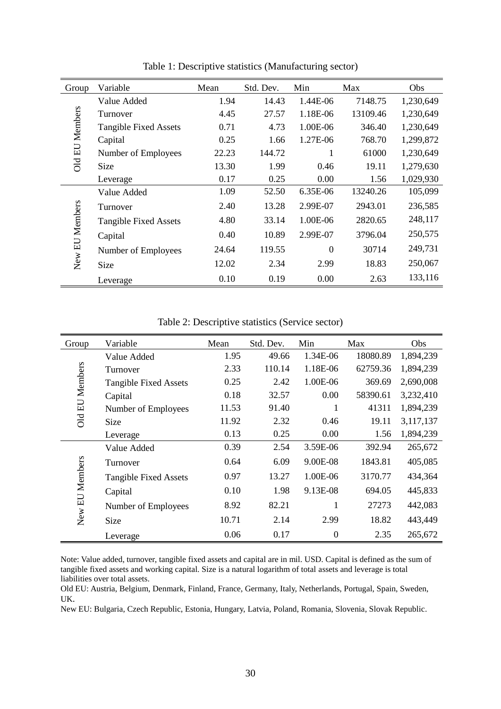| Group                 | Variable                     | Mean  | Std. Dev. | Min      | Max      | Obs       |
|-----------------------|------------------------------|-------|-----------|----------|----------|-----------|
|                       | Value Added                  | 1.94  | 14.43     | 1.44E-06 | 7148.75  | 1,230,649 |
| <b>DId EU Members</b> | Turnover                     | 4.45  | 27.57     | 1.18E-06 | 13109.46 | 1,230,649 |
|                       | <b>Tangible Fixed Assets</b> | 0.71  | 4.73      | 1.00E-06 | 346.40   | 1,230,649 |
|                       | Capital                      | 0.25  | 1.66      | 1.27E-06 | 768.70   | 1,299,872 |
|                       | Number of Employees          | 22.23 | 144.72    |          | 61000    | 1,230,649 |
|                       | <b>Size</b>                  | 13.30 | 1.99      | 0.46     | 19.11    | 1,279,630 |
|                       | Leverage                     | 0.17  | 0.25      | 0.00     | 1.56     | 1,029,930 |
|                       | Value Added                  | 1.09  | 52.50     | 6.35E-06 | 13240.26 | 105,099   |
| New EU Members        | Turnover                     | 2.40  | 13.28     | 2.99E-07 | 2943.01  | 236,585   |
|                       | <b>Tangible Fixed Assets</b> | 4.80  | 33.14     | 1.00E-06 | 2820.65  | 248,117   |
|                       | Capital                      | 0.40  | 10.89     | 2.99E-07 | 3796.04  | 250,575   |
|                       | Number of Employees          | 24.64 | 119.55    | $\Omega$ | 30714    | 249,731   |
|                       | <b>Size</b>                  | 12.02 | 2.34      | 2.99     | 18.83    | 250,067   |
|                       | Leverage                     | 0.10  | 0.19      | 0.00     | 2.63     | 133,116   |

Table 1: Descriptive statistics (Manufacturing sector)

Table 2: Descriptive statistics (Service sector)

| Group                 | Variable                     | Mean  | Std. Dev. | Min            | Max      | Obs       |
|-----------------------|------------------------------|-------|-----------|----------------|----------|-----------|
|                       | Value Added                  | 1.95  | 49.66     | 1.34E-06       | 18080.89 | 1,894,239 |
| <b>Old EU Members</b> | Turnover                     | 2.33  | 110.14    | 1.18E-06       | 62759.36 | 1,894,239 |
|                       | <b>Tangible Fixed Assets</b> | 0.25  | 2.42      | 1.00E-06       | 369.69   | 2,690,008 |
|                       | Capital                      | 0.18  | 32.57     | 0.00           | 58390.61 | 3,232,410 |
|                       | Number of Employees          | 11.53 | 91.40     | 1              | 41311    | 1,894,239 |
|                       | Size                         | 11.92 | 2.32      | 0.46           | 19.11    | 3,117,137 |
|                       | Leverage                     | 0.13  | 0.25      | 0.00           | 1.56     | 1,894,239 |
| New EU Members        | Value Added                  | 0.39  | 2.54      | 3.59E-06       | 392.94   | 265,672   |
|                       | Turnover                     | 0.64  | 6.09      | 9.00E-08       | 1843.81  | 405,085   |
|                       | <b>Tangible Fixed Assets</b> | 0.97  | 13.27     | 1.00E-06       | 3170.77  | 434,364   |
|                       | Capital                      | 0.10  | 1.98      | 9.13E-08       | 694.05   | 445,833   |
|                       | Number of Employees          | 8.92  | 82.21     |                | 27273    | 442,083   |
|                       | Size                         | 10.71 | 2.14      | 2.99           | 18.82    | 443,449   |
|                       | Leverage                     | 0.06  | 0.17      | $\overline{0}$ | 2.35     | 265,672   |

Note: Value added, turnover, tangible fixed assets and capital are in mil. USD. Capital is defined as the sum of tangible fixed assets and working capital. Size is a natural logarithm of total assets and leverage is total liabilities over total assets.

Old EU: Austria, Belgium, Denmark, Finland, France, Germany, Italy, Netherlands, Portugal, Spain, Sweden, UK.

New EU: Bulgaria, Czech Republic, Estonia, Hungary, Latvia, Poland, Romania, Slovenia, Slovak Republic.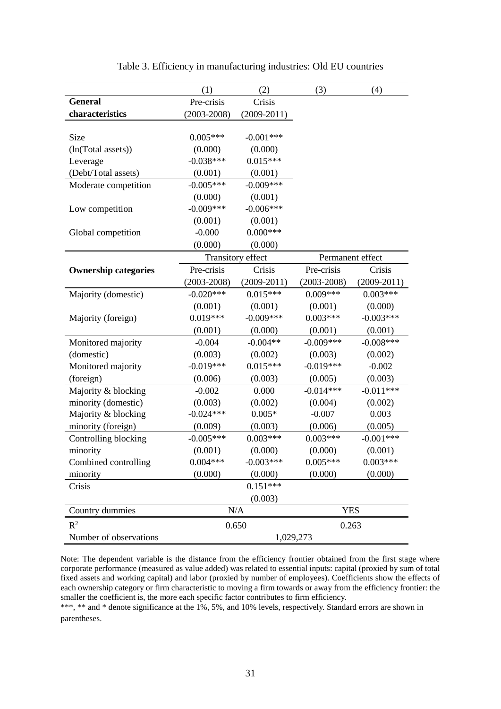|                             | (1)                  | (2)               | (3)              | (4)             |
|-----------------------------|----------------------|-------------------|------------------|-----------------|
| <b>General</b>              | Pre-crisis<br>Crisis |                   |                  |                 |
| characteristics             | $(2003 - 2008)$      | $(2009 - 2011)$   |                  |                 |
|                             |                      |                   |                  |                 |
| Size                        | $0.005***$           | $-0.001***$       |                  |                 |
| (ln(Total assets))          | (0.000)              | (0.000)           |                  |                 |
| Leverage                    | $-0.038***$          | $0.015***$        |                  |                 |
| (Debt/Total assets)         | (0.001)              | (0.001)           |                  |                 |
| Moderate competition        | $-0.005***$          | $-0.009***$       |                  |                 |
|                             | (0.000)              | (0.001)           |                  |                 |
| Low competition             | $-0.009***$          | $-0.006***$       |                  |                 |
|                             | (0.001)              | (0.001)           |                  |                 |
| Global competition          | $-0.000$             | $0.000***$        |                  |                 |
|                             | (0.000)              | (0.000)           |                  |                 |
|                             |                      | Transitory effect | Permanent effect |                 |
| <b>Ownership categories</b> | Pre-crisis           | Crisis            | Pre-crisis       | Crisis          |
|                             | $(2003 - 2008)$      | $(2009 - 2011)$   | $(2003 - 2008)$  | $(2009 - 2011)$ |
| Majority (domestic)         | $-0.020***$          | $0.015***$        | $0.009***$       | $0.003***$      |
|                             | (0.001)              | (0.001)           | (0.001)          | (0.000)         |
| Majority (foreign)          | $0.019***$           | $-0.009***$       | $0.003***$       | $-0.003***$     |
|                             | (0.001)              | (0.000)           | (0.001)          | (0.001)         |
| Monitored majority          | $-0.004$             | $-0.004**$        | $-0.009***$      | $-0.008***$     |
| (domestic)                  | (0.003)              | (0.002)           | (0.003)          | (0.002)         |
| Monitored majority          | $-0.019***$          | $0.015***$        | $-0.019***$      | $-0.002$        |
| (foreign)                   | (0.006)              | (0.003)           | (0.005)          | (0.003)         |
| Majority & blocking         | $-0.002$             | 0.000             | $-0.014***$      | $-0.011***$     |
| minority (domestic)         | (0.003)              | (0.002)           | (0.004)          | (0.002)         |
| Majority & blocking         | $-0.024***$          | $0.005*$          | $-0.007$         | 0.003           |
| minority (foreign)          | (0.009)              | (0.003)           | (0.006)          | (0.005)         |
| Controlling blocking        | $-0.005***$          | $0.003***$        | $0.003***$       | $-0.001***$     |
| minority                    | (0.001)              | (0.000)           | (0.000)          | (0.001)         |
| Combined controlling        | $0.004***$           | $-0.003***$       | $0.005***$       | $0.003***$      |
| minority                    | (0.000)              | (0.000)           | (0.000)          | (0.000)         |
| Crisis                      |                      | $0.151***$        |                  |                 |
|                             |                      | (0.003)           |                  |                 |
| Country dummies             |                      | N/A               | <b>YES</b>       |                 |
| $R^2$                       |                      | 0.650             | 0.263            |                 |
| Number of observations      | 1,029,273            |                   |                  |                 |

|  |  |  |  |  | Table 3. Efficiency in manufacturing industries: Old EU countries |  |  |
|--|--|--|--|--|-------------------------------------------------------------------|--|--|
|--|--|--|--|--|-------------------------------------------------------------------|--|--|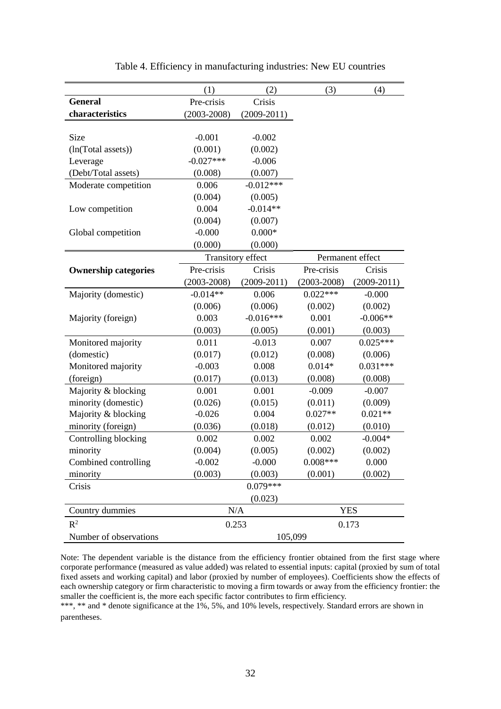|                             | (1)                                | (2)             | (3)             | (4)              |
|-----------------------------|------------------------------------|-----------------|-----------------|------------------|
| <b>General</b>              | Pre-crisis<br>Crisis               |                 |                 |                  |
| characteristics             | $(2003 - 2008)$<br>$(2009 - 2011)$ |                 |                 |                  |
|                             |                                    |                 |                 |                  |
| Size                        | $-0.001$                           | $-0.002$        |                 |                  |
| (ln(Total assets))          | (0.001)                            | (0.002)         |                 |                  |
| Leverage                    | $-0.027***$                        | $-0.006$        |                 |                  |
| (Debt/Total assets)         | (0.008)                            | (0.007)         |                 |                  |
| Moderate competition        | 0.006                              | $-0.012***$     |                 |                  |
|                             | (0.004)                            | (0.005)         |                 |                  |
| Low competition             | 0.004                              | $-0.014**$      |                 |                  |
|                             | (0.004)                            | (0.007)         |                 |                  |
| Global competition          | $-0.000$                           | $0.000*$        |                 |                  |
|                             | (0.000)                            | (0.000)         |                 |                  |
|                             | Transitory effect                  |                 |                 | Permanent effect |
| <b>Ownership categories</b> | Pre-crisis                         | Crisis          | Pre-crisis      | Crisis           |
|                             | $(2003 - 2008)$                    | $(2009 - 2011)$ | $(2003 - 2008)$ | $(2009 - 2011)$  |
| Majority (domestic)         | $-0.014**$                         | 0.006           | $0.022***$      | $-0.000$         |
|                             | (0.006)                            | (0.006)         | (0.002)         | (0.002)          |
| Majority (foreign)          | 0.003                              | $-0.016***$     | 0.001           | $-0.006**$       |
|                             | (0.003)                            | (0.005)         | (0.001)         | (0.003)          |
| Monitored majority          | 0.011                              | $-0.013$        | 0.007           | $0.025***$       |
| (domestic)                  | (0.017)                            | (0.012)         | (0.008)         | (0.006)          |
| Monitored majority          | $-0.003$                           | 0.008           | $0.014*$        | $0.031***$       |
| (foreign)                   | (0.017)                            | (0.013)         | (0.008)         | (0.008)          |
| Majority & blocking         | 0.001                              | 0.001           | $-0.009$        | $-0.007$         |
| minority (domestic)         | (0.026)                            | (0.015)         | (0.011)         | (0.009)          |
| Majority & blocking         | $-0.026$                           | 0.004           | $0.027**$       | $0.021**$        |
| minority (foreign)          | (0.036)                            | (0.018)         | (0.012)         | (0.010)          |
| Controlling blocking        | 0.002                              | 0.002           | 0.002           | $-0.004*$        |
| minority                    | (0.004)                            | (0.005)         | (0.002)         | (0.002)          |
| Combined controlling        | $-0.002$                           | $-0.000$        | $0.008***$      | 0.000            |
| minority                    | (0.003)                            | (0.003)         | (0.001)         | (0.002)          |
| Crisis                      |                                    | $0.079***$      |                 |                  |
|                             |                                    | (0.023)         |                 |                  |
| Country dummies             |                                    | N/A             |                 | <b>YES</b>       |
| $R^2$                       |                                    | 0.253           | 0.173           |                  |
| Number of observations      | 105,099                            |                 |                 |                  |

Table 4. Efficiency in manufacturing industries: New EU countries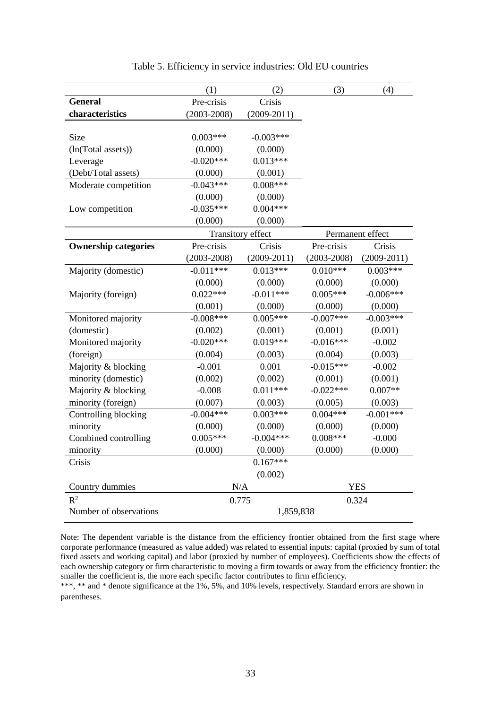|                             | (1)<br>(2)                         |                   | (3)             | (4)              |  |
|-----------------------------|------------------------------------|-------------------|-----------------|------------------|--|
| <b>General</b>              | Pre-crisis<br>Crisis               |                   |                 |                  |  |
| characteristics             | $(2003 - 2008)$<br>$(2009 - 2011)$ |                   |                 |                  |  |
|                             |                                    |                   |                 |                  |  |
| Size                        | $0.003***$                         | $-0.003***$       |                 |                  |  |
| (ln(Total assets))          | (0.000)                            | (0.000)           |                 |                  |  |
| Leverage                    | $-0.020***$                        | $0.013***$        |                 |                  |  |
| (Debt/Total assets)         | (0.000)                            | (0.001)           |                 |                  |  |
| Moderate competition        | $-0.043***$                        | $0.008***$        |                 |                  |  |
|                             | (0.000)                            | (0.000)           |                 |                  |  |
| Low competition             | $-0.035***$                        | $0.004***$        |                 |                  |  |
|                             | (0.000)                            | (0.000)           |                 |                  |  |
|                             |                                    | Transitory effect |                 | Permanent effect |  |
| <b>Ownership categories</b> | Pre-crisis                         | Crisis            | Pre-crisis      | Crisis           |  |
|                             | $(2003 - 2008)$                    | $(2009 - 2011)$   | $(2003 - 2008)$ | $(2009 - 2011)$  |  |
| Majority (domestic)         | $-0.011***$                        | $0.013***$        | $0.010***$      | $0.003***$       |  |
|                             | (0.000)                            | (0.000)           | (0.000)         | (0.000)          |  |
| Majority (foreign)          | $0.022***$                         | $-0.011***$       | $0.005***$      | $-0.006***$      |  |
|                             | (0.001)                            | (0.000)           | (0.000)         | (0.000)          |  |
| Monitored majority          | $-0.008***$                        | $0.005***$        | $-0.007***$     | $-0.003***$      |  |
| (domestic)                  | (0.002)                            | (0.001)           | (0.001)         | (0.001)          |  |
| Monitored majority          | $-0.020***$                        | $0.019***$        | $-0.016***$     | $-0.002$         |  |
| (foreign)                   | (0.004)                            | (0.003)           | (0.004)         | (0.003)          |  |
| Majority & blocking         | $-0.001$                           | 0.001             | $-0.015***$     | $-0.002$         |  |
| minority (domestic)         | (0.002)                            | (0.002)           | (0.001)         | (0.001)          |  |
| Majority & blocking         | $-0.008$                           | $0.011***$        | $-0.022***$     | $0.007**$        |  |
| minority (foreign)          | (0.007)                            | (0.003)           | (0.005)         | (0.003)          |  |
| Controlling blocking        | $-0.004***$                        | $0.003***$        | $0.004***$      | $-0.001***$      |  |
| minority                    | (0.000)                            | (0.000)           | (0.000)         | (0.000)          |  |
| Combined controlling        | $0.005***$                         | $-0.004***$       | $0.008***$      | $-0.000$         |  |
| minority                    | (0.000)                            | (0.000)           | (0.000)         | (0.000)          |  |
| Crisis                      |                                    | $0.167***$        |                 |                  |  |
|                             | (0.002)                            |                   |                 |                  |  |
| Country dummies             |                                    | N/A               |                 | <b>YES</b>       |  |
| R <sup>2</sup>              |                                    | 0.775             |                 | 0.324            |  |
| Number of observations      |                                    | 1,859,838         |                 |                  |  |

Table 5. Efficiency in service industries: Old EU countries